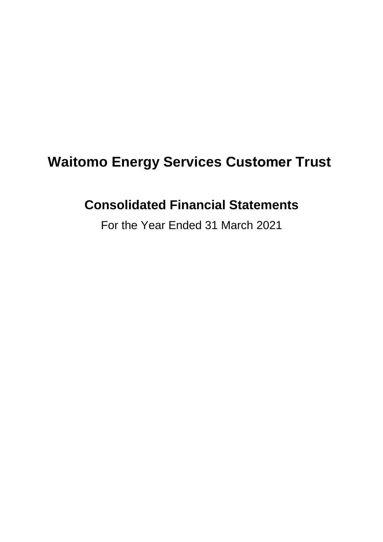# **Waitomo Energy Services Customer Trust**

# **Consolidated Financial Statements**

For the Year Ended 31 March 2021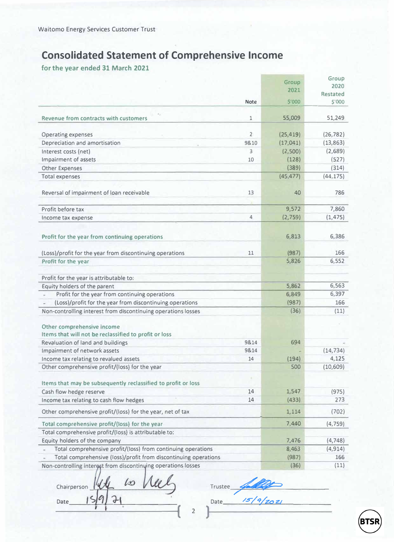## **Consolidated Statement of Comprehensive Income**

**for the year ended 31 March 2021** 

|                                                                   |                | Group     | Group                     |
|-------------------------------------------------------------------|----------------|-----------|---------------------------|
|                                                                   |                | 2021      | 2020                      |
|                                                                   | <b>Note</b>    | \$'000    | <b>Restated</b><br>\$'000 |
|                                                                   |                |           |                           |
| <b>Revenue from contracts with customers</b>                      | $\overline{1}$ | 55,009    | 51,249                    |
| <b>Operating expenses</b>                                         | $\overline{2}$ | (25, 419) | (26, 782)                 |
| Depreciation and amortisation                                     | 98.10          | (17, 041) | (13, 863)                 |
| Interest costs (net)                                              | 3              | (2,500)   | (2,689)                   |
| Impairment of assets                                              | 10             | (128)     | (527)                     |
| <b>Other Expenses</b>                                             |                | (389)     | (314)                     |
| <b>Total expenses</b>                                             |                | (45, 477) | (44, 175)                 |
|                                                                   |                |           |                           |
| Reversal of impairment of loan receivable                         | 13             | 40        | 786                       |
| Profit before tax                                                 |                | 9,572     | 7,860                     |
| Income tax expense                                                | 4              | (2, 759)  | (1, 475)                  |
|                                                                   |                |           |                           |
| Profit for the year from continuing operations                    |                | 6,813     | 6,386                     |
| (Loss)/profit for the year from discontinuing operations          | 11             | (987)     | 166                       |
| Profit for the year                                               |                | 5,826     | 6,552                     |
| Profit for the year is attributable to:                           |                |           |                           |
| Equity holders of the parent                                      |                | 5,862     | 6,563                     |
| Profit for the year from continuing operations                    |                | 6,849     | 6,397                     |
| (Loss)/profit for the year from discontinuing operations          |                | (987)     | 166                       |
| Non-controlling interest from discontinuing operations losses     |                | (36)      | (11)                      |
|                                                                   |                |           |                           |
| Other comprehensive income                                        |                |           |                           |
| Items that will not be reclassified to profit or loss             | 9814           |           |                           |
| Revaluation of land and buildings<br>Impairment of network assets | 9814           | 694       | (14, 734)                 |
| Income tax relating to revalued assets                            | 14             | (194)     | 4,125                     |
| Other comprehensive profit/(loss) for the year                    |                | 500       | (10, 609)                 |
|                                                                   |                |           |                           |
| Items that may be subsequently reclassified to profit or loss     | ٠              |           |                           |
| Cash flow hedge reserve                                           | 14             | 1,547     | (975)                     |
| Income tax relating to cash flow hedges                           | 14             | (433)     | 273                       |
| Other comprehensive profit/(loss) for the year, net of tax        |                | 1,114     | (702)                     |
| Total comprehensive profit/(loss) for the year                    |                | 7,440     | (4, 759)                  |
| Total comprehensive profit/(loss) is attributable to:             |                |           |                           |
| Equity holders of the company                                     |                | 7,476     | (4, 748)                  |
| Total comprehensive profit/(loss) from continuing operations      |                | 8,463     | (4, 914)                  |
| Total comprehensive (loss)/profit from discontinuing operations   |                | (987)     | 166                       |
| Non-controlling interest from discontinuing operations losses     |                | (36)      | (11)                      |

 $Chairperson$   $144$  to  $142$  Trustee  $\frac{1}{4}$  $Date$   $15977$ 

Date  $15/9/202/$ 

2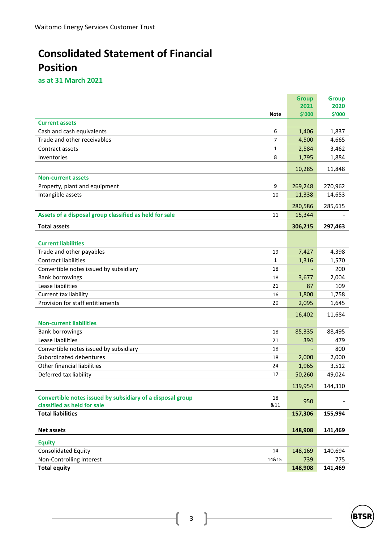## **Consolidated Statement of Financial Position**

**as at 31 March 2021**

|                                                            |             | <b>Group</b> | <b>Group</b> |
|------------------------------------------------------------|-------------|--------------|--------------|
|                                                            |             | 2021         | 2020         |
|                                                            | <b>Note</b> | \$'000       | \$'000       |
| <b>Current assets</b>                                      |             |              |              |
| Cash and cash equivalents                                  | 6           | 1,406        | 1,837        |
| Trade and other receivables                                | 7           | 4,500        | 4,665        |
| Contract assets                                            | 1           | 2,584        | 3,462        |
| Inventories                                                | 8           | 1,795        | 1,884        |
|                                                            |             | 10,285       | 11,848       |
| <b>Non-current assets</b>                                  |             |              |              |
| Property, plant and equipment                              | 9           | 269,248      | 270,962      |
| Intangible assets                                          | 10          | 11,338       | 14,653       |
|                                                            |             | 280,586      | 285,615      |
| Assets of a disposal group classified as held for sale     | 11          | 15,344       |              |
| <b>Total assets</b>                                        |             | 306,215      | 297,463      |
|                                                            |             |              |              |
| <b>Current liabilities</b>                                 |             |              |              |
| Trade and other payables                                   | 19          | 7,427        | 4,398        |
| <b>Contract liabilities</b>                                | 1           | 1,316        | 1,570        |
| Convertible notes issued by subsidiary                     | 18          |              | 200          |
| <b>Bank borrowings</b>                                     | 18          | 3,677        | 2,004        |
| Lease liabilities                                          | 21          | 87           | 109          |
| Current tax liability                                      | 16          | 1,800        | 1,758        |
| Provision for staff entitlements                           | 20          | 2,095        | 1,645        |
|                                                            |             | 16,402       | 11,684       |
| <b>Non-current liabilities</b>                             |             |              |              |
| <b>Bank borrowings</b>                                     | 18          | 85,335       | 88,495       |
| Lease liabilities                                          | 21          | 394          | 479          |
| Convertible notes issued by subsidiary                     | 18          |              | 800          |
| Subordinated debentures                                    | 18          | 2,000        | 2,000        |
| Other financial liabilities                                | 24          | 1,965        | 3,512        |
| Deferred tax liability                                     | 17          | 50,260       | 49,024       |
|                                                            |             | 139,954      | 144,310      |
| Convertible notes issued by subsidiary of a disposal group | 18          |              |              |
| classified as held for sale                                | &11         | 950          |              |
| <b>Total liabilities</b>                                   |             | 157,306      | 155,994      |
|                                                            |             |              |              |
| <b>Net assets</b>                                          |             | 148,908      | 141,469      |
| <b>Equity</b>                                              |             |              |              |
| Consolidated Equity                                        | 14          | 148,169      | 140,694      |
| Non-Controlling Interest                                   | 14&15       | 739          | 775          |
| <b>Total equity</b>                                        |             | 148,908      | 141,469      |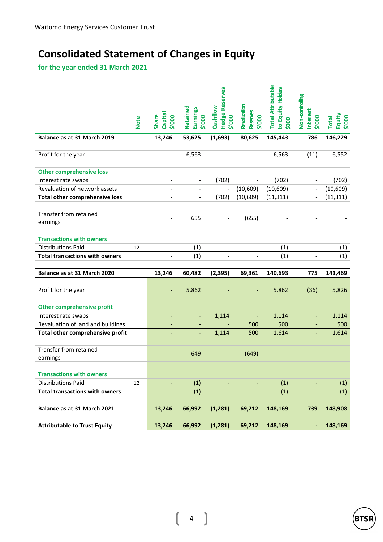## **Consolidated Statement of Changes in Equity**

**for the year ended 31 March 2021**

| <b>Note</b>                           | Capital<br>Share<br>\$'000   | Retained<br>Earnings<br>\$'000 | <b>Hedge Reserves</b><br>Cashflow<br>\$'000 | Revaluation<br>Reserves<br>\$'000 | <b>Total Attributable</b><br>to Equity Holders<br>\$000 | Non-controlling<br>nterest<br>000.\$ | Equity<br><b>Total</b><br>\$'000 |
|---------------------------------------|------------------------------|--------------------------------|---------------------------------------------|-----------------------------------|---------------------------------------------------------|--------------------------------------|----------------------------------|
| Balance as at 31 March 2019           | 13,246                       | 53,625                         | (1,693)                                     | 80,625                            | 145,443                                                 | 786                                  | 146,229                          |
| Profit for the year                   | $\overline{\phantom{0}}$     | 6,563                          |                                             |                                   | 6,563                                                   | (11)                                 | 6,552                            |
| <b>Other comprehensive loss</b>       |                              |                                |                                             |                                   |                                                         |                                      |                                  |
| Interest rate swaps                   | $\qquad \qquad \blacksquare$ | $\overline{\phantom{a}}$       | (702)                                       | $\overline{\phantom{a}}$          | (702)                                                   | $\qquad \qquad \blacksquare$         | (702)                            |
| Revaluation of network assets         |                              |                                |                                             | (10, 609)                         | (10, 609)                                               |                                      | (10, 609)                        |
| <b>Total other comprehensive loss</b> |                              |                                | (702)                                       | (10, 609)                         | (11, 311)                                               | $\frac{1}{2}$                        | (11, 311)                        |
| Transfer from retained<br>earnings    |                              | 655                            |                                             | (655)                             |                                                         |                                      |                                  |
| <b>Transactions with owners</b>       |                              |                                |                                             |                                   |                                                         |                                      |                                  |
| <b>Distributions Paid</b><br>12       | $\overline{\phantom{0}}$     | (1)                            |                                             |                                   | (1)                                                     |                                      | (1)                              |
| <b>Total transactions with owners</b> |                              | (1)                            |                                             |                                   | (1)                                                     |                                      | (1)                              |
|                                       |                              |                                |                                             |                                   |                                                         |                                      |                                  |
| Balance as at 31 March 2020           | 13,246                       | 60,482                         | (2, 395)                                    | 69,361                            | 140,693                                                 | 775                                  | 141,469                          |
| Profit for the year                   | $\overline{\phantom{a}}$     | 5,862                          |                                             | $\overline{a}$                    | 5,862                                                   | (36)                                 | 5,826                            |
| <b>Other comprehensive profit</b>     |                              |                                |                                             |                                   |                                                         |                                      |                                  |
| Interest rate swaps                   | ٠                            | $\overline{\phantom{a}}$       | 1,114                                       | ÷,                                | 1,114                                                   | $\overline{\phantom{a}}$             | 1,114                            |
| Revaluation of land and buildings     |                              |                                |                                             | 500                               | 500                                                     |                                      | 500                              |
| Total other comprehensive profit      |                              |                                | 1,114                                       | 500                               | 1,614                                                   |                                      | 1,614                            |
| Transfer from retained<br>earnings    | ٠                            | 649                            | $\overline{\phantom{a}}$                    | (649)                             |                                                         |                                      |                                  |
| <b>Transactions with owners</b>       |                              |                                |                                             |                                   |                                                         |                                      |                                  |
| <b>Distributions Paid</b><br>12       | $\overline{\phantom{a}}$     | (1)                            |                                             |                                   | (1)                                                     |                                      | (1)                              |
| <b>Total transactions with owners</b> |                              | (1)                            |                                             |                                   | (1)                                                     |                                      | (1)                              |
|                                       |                              |                                |                                             |                                   |                                                         |                                      |                                  |
| Balance as at 31 March 2021           | 13,246                       | 66,992                         | (1, 281)                                    | 69,212                            | 148,169                                                 | 739                                  | 148,908                          |
| <b>Attributable to Trust Equity</b>   | 13,246                       | 66,992                         | (1, 281)                                    | 69,212                            | 148,169                                                 | $\overline{\phantom{a}}$             | 148,169                          |

4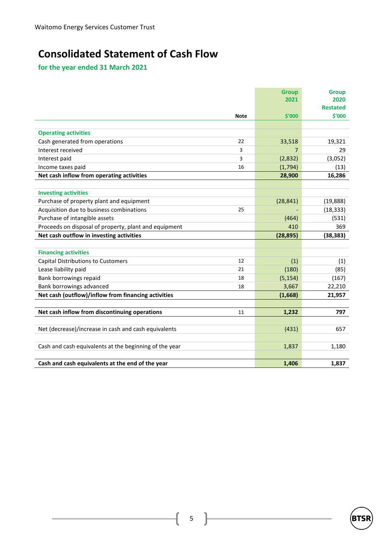## **Consolidated Statement of Cash Flow**

**for the year ended 31 March 2021** 

|                                                        | <b>Group</b> | <b>Group</b>              |
|--------------------------------------------------------|--------------|---------------------------|
|                                                        | 2021         | 2020                      |
| <b>Note</b>                                            | \$'000       | <b>Restated</b><br>\$'000 |
|                                                        |              |                           |
| <b>Operating activities</b>                            |              |                           |
| Cash generated from operations<br>22                   | 33,518       | 19,321                    |
| Interest received<br>3                                 | 7            | 29                        |
| Interest paid<br>3                                     | (2,832)      | (3,052)                   |
| Income taxes paid<br>16                                | (1,794)      | (13)                      |
| Net cash inflow from operating activities              | 28,900       | 16,286                    |
|                                                        |              |                           |
| <b>Investing activities</b>                            |              |                           |
| Purchase of property plant and equipment               | (28, 841)    | (19, 888)                 |
| Acquisition due to business combinations<br>25         |              | (18, 333)                 |
| Purchase of intangible assets                          | (464)        | (531)                     |
| Proceeds on disposal of property, plant and equipment  | 410          | 369                       |
| Net cash outflow in investing activities               | (28, 895)    | (38, 383)                 |
|                                                        |              |                           |
| <b>Financing activities</b>                            |              |                           |
| <b>Capital Distributions to Customers</b><br>12        | (1)          | (1)                       |
| Lease liability paid<br>21                             | (180)        | (85)                      |
| Bank borrowings repaid<br>18                           | (5, 154)     | (167)                     |
| Bank borrowings advanced<br>18                         | 3,667        | 22,210                    |
| Net cash (outflow)/inflow from financing activities    | (1,668)      | 21,957                    |
|                                                        |              |                           |
| Net cash inflow from discontinuing operations<br>11    | 1,232        | 797                       |
|                                                        |              |                           |
| Net (decrease)/increase in cash and cash equivalents   | (431)        | 657                       |
|                                                        |              |                           |
| Cash and cash equivalents at the beginning of the year | 1,837        | 1,180                     |
|                                                        |              |                           |
| Cash and cash equivalents at the end of the year       | 1,406        | 1,837                     |



5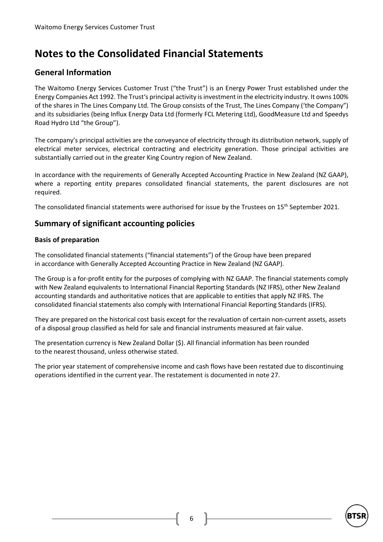## **Notes to the Consolidated Financial Statements**

## **General Information**

The Waitomo Energy Services Customer Trust ("the Trust") is an Energy Power Trust established under the Energy Companies Act 1992. The Trust's principal activity is investment in the electricity industry. It owns 100% of the shares in The Lines Company Ltd. The Group consists of the Trust, The Lines Company ('the Company") and its subsidiaries (being Influx Energy Data Ltd (formerly FCL Metering Ltd), GoodMeasure Ltd and Speedys Road Hydro Ltd "the Group").

The company's principal activities are the conveyance of electricity through its distribution network, supply of electrical meter services, electrical contracting and electricity generation. Those principal activities are substantially carried out in the greater King Country region of New Zealand.

In accordance with the requirements of Generally Accepted Accounting Practice in New Zealand (NZ GAAP), where a reporting entity prepares consolidated financial statements, the parent disclosures are not required.

The consolidated financial statements were authorised for issue by the Trustees on 15<sup>th</sup> September 2021.

## **Summary of significant accounting policies**

#### **Basis of preparation**

The consolidated financial statements ("financial statements") of the Group have been prepared in accordance with Generally Accepted Accounting Practice in New Zealand (NZ GAAP).

The Group is a for-profit entity for the purposes of complying with NZ GAAP. The financial statements comply with New Zealand equivalents to International Financial Reporting Standards (NZ IFRS), other New Zealand accounting standards and authoritative notices that are applicable to entities that apply NZ IFRS. The consolidated financial statements also comply with International Financial Reporting Standards (IFRS).

They are prepared on the historical cost basis except for the revaluation of certain non-current assets, assets of a disposal group classified as held for sale and financial instruments measured at fair value.

The presentation currency is New Zealand Dollar (\$). All financial information has been rounded to the nearest thousand, unless otherwise stated.

The prior year statement of comprehensive income and cash flows have been restated due to discontinuing operations identified in the current year. The restatement is documented in note 27.

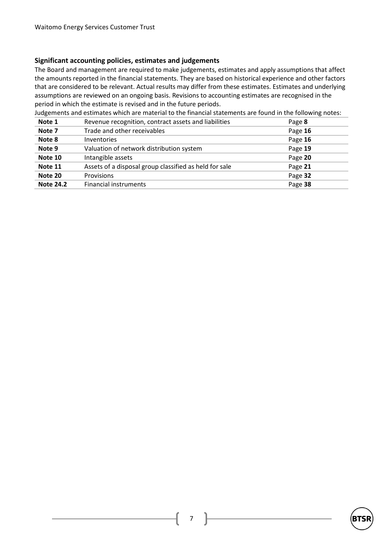#### **Significant accounting policies, estimates and judgements**

The Board and management are required to make judgements, estimates and apply assumptions that affect the amounts reported in the financial statements. They are based on historical experience and other factors that are considered to be relevant. Actual results may differ from these estimates. Estimates and underlying assumptions are reviewed on an ongoing basis. Revisions to accounting estimates are recognised in the period in which the estimate is revised and in the future periods.

Judgements and estimates which are material to the financial statements are found in the following notes:

| Note 1           | Revenue recognition, contract assets and liabilities   | Page 8  |
|------------------|--------------------------------------------------------|---------|
| Note 7           | Trade and other receivables                            | Page 16 |
| Note 8           | <b>Inventories</b>                                     | Page 16 |
| Note 9           | Valuation of network distribution system               | Page 19 |
| Note 10          | Intangible assets                                      | Page 20 |
| Note 11          | Assets of a disposal group classified as held for sale | Page 21 |
| Note 20          | Provisions                                             | Page 32 |
| <b>Note 24.2</b> | Financial instruments                                  | Page 38 |



7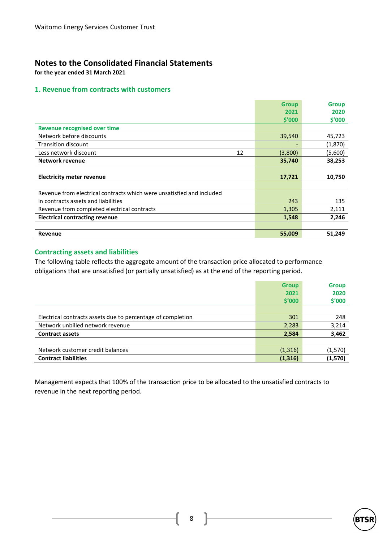## **Notes to the Consolidated Financial Statements**

**for the year ended 31 March 2021**

#### **1. Revenue from contracts with customers**

|                                                                       | <b>Group</b> | <b>Group</b> |
|-----------------------------------------------------------------------|--------------|--------------|
|                                                                       | 2021         | 2020         |
|                                                                       | \$′000       | \$′000       |
| <b>Revenue recognised over time</b>                                   |              |              |
| Network before discounts                                              | 39,540       | 45,723       |
| Transition discount                                                   |              | (1,870)      |
| Less network discount<br>12                                           | (3,800)      | (5,600)      |
| Network revenue                                                       | 35,740       | 38,253       |
|                                                                       |              |              |
| <b>Electricity meter revenue</b>                                      | 17,721       | 10,750       |
|                                                                       |              |              |
| Revenue from electrical contracts which were unsatisfied and included |              |              |
| in contracts assets and liabilities                                   | 243          | 135          |
| Revenue from completed electrical contracts                           | 1,305        | 2,111        |
| <b>Electrical contracting revenue</b>                                 | 1,548        | 2,246        |
|                                                                       |              |              |
| Revenue                                                               | 55,009       | 51,249       |

### **Contracting assets and liabilities**

The following table reflects the aggregate amount of the transaction price allocated to performance obligations that are unsatisfied (or partially unsatisfied) as at the end of the reporting period.

|                                                             | <b>Group</b> | <b>Group</b> |
|-------------------------------------------------------------|--------------|--------------|
|                                                             | 2021         | 2020         |
|                                                             | \$′000       | \$'000       |
|                                                             |              |              |
| Electrical contracts assets due to percentage of completion | 301          | 248          |
| Network unbilled network revenue                            | 2,283        | 3,214        |
| <b>Contract assets</b>                                      | 2,584        | 3,462        |
|                                                             |              |              |
| Network customer credit balances                            | (1, 316)     | (1,570)      |
| <b>Contract liabilities</b>                                 | (1, 316)     | (1,570)      |

Management expects that 100% of the transaction price to be allocated to the unsatisfied contracts to revenue in the next reporting period.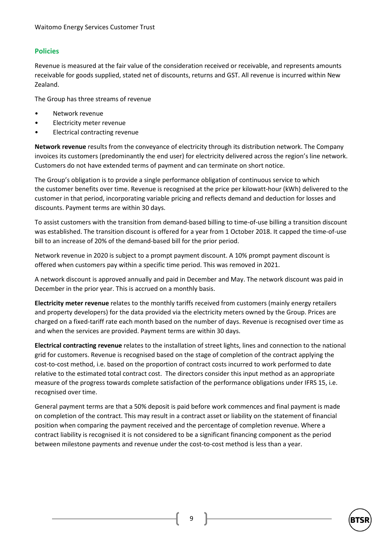### **Policies**

Revenue is measured at the fair value of the consideration received or receivable, and represents amounts receivable for goods supplied, stated net of discounts, returns and GST. All revenue is incurred within New Zealand.

The Group has three streams of revenue

- Network revenue
- Electricity meter revenue
- Electrical contracting revenue

**Network revenue** results from the conveyance of electricity through its distribution network. The Company invoices its customers (predominantly the end user) for electricity delivered across the region's line network. Customers do not have extended terms of payment and can terminate on short notice.

The Group's obligation is to provide a single performance obligation of continuous service to which the customer benefits over time. Revenue is recognised at the price per kilowatt-hour (kWh) delivered to the customer in that period, incorporating variable pricing and reflects demand and deduction for losses and discounts. Payment terms are within 30 days.

To assist customers with the transition from demand-based billing to time-of-use billing a transition discount was established. The transition discount is offered for a year from 1 October 2018. It capped the time-of-use bill to an increase of 20% of the demand-based bill for the prior period.

Network revenue in 2020 is subject to a prompt payment discount. A 10% prompt payment discount is offered when customers pay within a specific time period. This was removed in 2021.

A network discount is approved annually and paid in December and May. The network discount was paid in December in the prior year. This is accrued on a monthly basis.

**Electricity meter revenue** relates to the monthly tariffs received from customers (mainly energy retailers and property developers) for the data provided via the electricity meters owned by the Group. Prices are charged on a fixed-tariff rate each month based on the number of days. Revenue is recognised over time as and when the services are provided. Payment terms are within 30 days.

**Electrical contracting revenue** relates to the installation of street lights, lines and connection to the national grid for customers. Revenue is recognised based on the stage of completion of the contract applying the cost-to-cost method, i.e. based on the proportion of contract costs incurred to work performed to date relative to the estimated total contract cost. The directors consider this input method as an appropriate measure of the progress towards complete satisfaction of the performance obligations under IFRS 15, i.e. recognised over time.

General payment terms are that a 50% deposit is paid before work commences and final payment is made on completion of the contract. This may result in a contract asset or liability on the statement of financial position when comparing the payment received and the percentage of completion revenue. Where a contract liability is recognised it is not considered to be a significant financing component as the period between milestone payments and revenue under the cost-to-cost method is less than a year.

9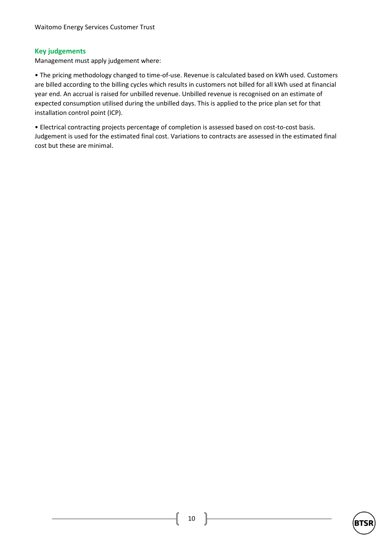### **Key judgements**

Management must apply judgement where:

• The pricing methodology changed to time-of-use. Revenue is calculated based on kWh used. Customers are billed according to the billing cycles which results in customers not billed for all kWh used at financial year end. An accrual is raised for unbilled revenue. Unbilled revenue is recognised on an estimate of expected consumption utilised during the unbilled days. This is applied to the price plan set for that installation control point (ICP).

• Electrical contracting projects percentage of completion is assessed based on cost-to-cost basis. Judgement is used for the estimated final cost. Variations to contracts are assessed in the estimated final cost but these are minimal.

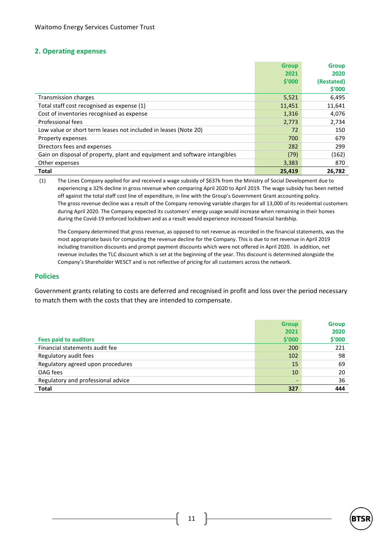#### **2. Operating expenses**

|                                                                            | <b>Group</b> | <b>Group</b> |
|----------------------------------------------------------------------------|--------------|--------------|
|                                                                            | 2021         | 2020         |
|                                                                            | \$'000       | (Restated)   |
|                                                                            |              | \$′000       |
| Transmission charges                                                       | 5,521        | 6,495        |
| Total staff cost recognised as expense (1)                                 | 11,451       | 11,641       |
| Cost of inventories recognised as expense                                  | 1,316        | 4,076        |
| Professional fees                                                          | 2,773        | 2,734        |
| Low value or short term leases not included in leases (Note 20)            | 72           | 150          |
| Property expenses                                                          | 700          | 679          |
| Directors fees and expenses                                                | 282          | 299          |
| Gain on disposal of property, plant and equipment and software intangibles | (79)         | (162)        |
| Other expenses                                                             | 3,383        | 870          |
| <b>Total</b>                                                               | 25,419       | 26,782       |

(1) The Lines Company applied for and received a wage subsidy of \$637k from the Ministry of Social Development due to experiencing a 32% decline in gross revenue when comparing April 2020 to April 2019. The wage subsidy has been netted off against the total staff cost line of expenditure, in line with the Group's Government Grant accounting policy. The gross revenue decline was a result of the Company removing variable charges for all 13,000 of its residential customers during April 2020. The Company expected its customers' energy usage would increase when remaining in their homes during the Covid-19 enforced lockdown and as a result would experience increased financial hardship.

The Company determined that gross revenue, as opposed to net revenue as recorded in the financial statements, was the most appropriate basis for computing the revenue decline for the Company. This is due to net revenue in April 2019 including transition discounts and prompt payment discounts which were not offered in April 2020. In addition, net revenue includes the TLC discount which is set at the beginning of the year. This discount is determined alongside the Company's Shareholder WESCT and is not reflective of pricing for all customers across the network.

#### **Policies**

Government grants relating to costs are deferred and recognised in profit and loss over the period necessary to match them with the costs that they are intended to compensate.

|                                    | <b>Group</b>   | <b>Group</b> |
|------------------------------------|----------------|--------------|
|                                    | 2021           | 2020         |
| <b>Fees paid to auditors</b>       | \$′000         | \$'000       |
| Financial statements audit fee     | 200            | 221          |
| Regulatory audit fees              | 102            | 98           |
| Regulatory agreed upon procedures  | 15             | 69           |
| OAG fees                           | 10             | 20           |
| Regulatory and professional advice | $\overline{a}$ | 36           |
| Total                              | 327            | 444          |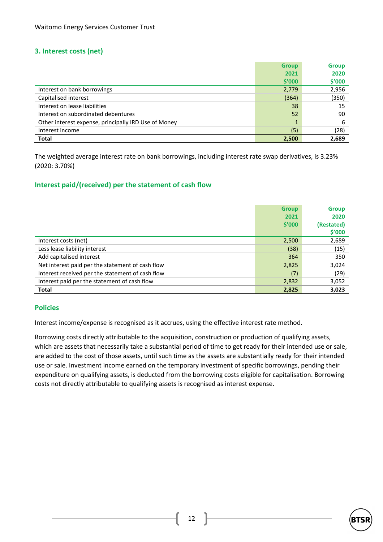### **3. Interest costs (net)**

|                                                      | <b>Group</b> | <b>Group</b> |
|------------------------------------------------------|--------------|--------------|
|                                                      | 2021         | 2020         |
|                                                      | \$′000       | \$'000       |
| Interest on bank borrowings                          | 2,779        | 2,956        |
| Capitalised interest                                 | (364)        | (350)        |
| Interest on lease liabilities                        | 38           | 15           |
| Interest on subordinated debentures                  | 52           | 90           |
| Other interest expense, principally IRD Use of Money | $\mathbf{1}$ | 6            |
| Interest income                                      | (5)          | (28)         |
| <b>Total</b>                                         | 2,500        | 2,689        |

The weighted average interest rate on bank borrowings, including interest rate swap derivatives, is 3.23% (2020: 3.70%)

### **Interest paid/(received) per the statement of cash flow**

|                                                  | <b>Group</b> | <b>Group</b> |
|--------------------------------------------------|--------------|--------------|
|                                                  | 2021         | 2020         |
|                                                  | \$′000       | (Restated)   |
|                                                  |              | \$′000       |
| Interest costs (net)                             | 2,500        | 2,689        |
| Less lease liability interest                    | (38)         | (15)         |
| Add capitalised interest                         | 364          | 350          |
| Net interest paid per the statement of cash flow | 2,825        | 3,024        |
| Interest received per the statement of cash flow | (7)          | (29)         |
| Interest paid per the statement of cash flow     | 2,832        | 3,052        |
| <b>Total</b>                                     | 2,825        | 3,023        |

#### **Policies**

Interest income/expense is recognised as it accrues, using the effective interest rate method.

Borrowing costs directly attributable to the acquisition, construction or production of qualifying assets, which are assets that necessarily take a substantial period of time to get ready for their intended use or sale, are added to the cost of those assets, until such time as the assets are substantially ready for their intended use or sale. Investment income earned on the temporary investment of specific borrowings, pending their expenditure on qualifying assets, is deducted from the borrowing costs eligible for capitalisation. Borrowing costs not directly attributable to qualifying assets is recognised as interest expense.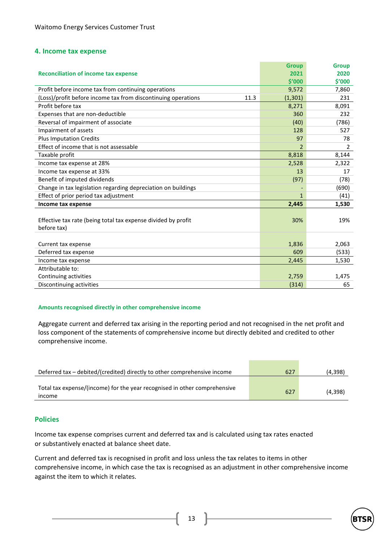#### **4. Income tax expense**

|                                                                       | <b>Group</b> | <b>Group</b> |
|-----------------------------------------------------------------------|--------------|--------------|
| <b>Reconciliation of income tax expense</b>                           | 2021         | 2020         |
|                                                                       | \$'000       | \$′000       |
| Profit before income tax from continuing operations                   | 9,572        | 7,860        |
| (Loss)/profit before income tax from discontinuing operations<br>11.3 | (1, 301)     | 231          |
| Profit before tax                                                     | 8,271        | 8,091        |
| Expenses that are non-deductible                                      | 360          | 232          |
| Reversal of impairment of associate                                   | (40)         | (786)        |
| Impairment of assets                                                  | 128          | 527          |
| <b>Plus Imputation Credits</b>                                        | 97           | 78           |
| Effect of income that is not assessable                               | 2            | 2            |
| Taxable profit                                                        | 8,818        | 8,144        |
| Income tax expense at 28%                                             | 2,528        | 2,322        |
| Income tax expense at 33%                                             | 13           | 17           |
| Benefit of imputed dividends                                          | (97)         | (78)         |
| Change in tax legislation regarding depreciation on buildings         |              | (690)        |
| Effect of prior period tax adjustment                                 | $\mathbf{1}$ | (41)         |
| Income tax expense                                                    | 2,445        | 1,530        |
|                                                                       |              |              |
| Effective tax rate (being total tax expense divided by profit         | 30%          | 19%          |
| before tax)                                                           |              |              |
|                                                                       |              |              |
| Current tax expense                                                   | 1,836        | 2,063        |
| Deferred tax expense                                                  | 609          | (533)        |
| Income tax expense                                                    | 2,445        | 1,530        |
| Attributable to:                                                      |              |              |
| Continuing activities                                                 | 2,759        | 1,475        |
| Discontinuing activities                                              | (314)        | 65           |

#### **Amounts recognised directly in other comprehensive income**

Aggregate current and deferred tax arising in the reporting period and not recognised in the net profit and loss component of the statements of comprehensive income but directly debited and credited to other comprehensive income.

| Deferred tax – debited/(credited) directly to other comprehensive income            | 627 | (4,398) |
|-------------------------------------------------------------------------------------|-----|---------|
| Total tax expense/(income) for the year recognised in other comprehensive<br>income | 627 | (4.398) |

#### **Policies**

Income tax expense comprises current and deferred tax and is calculated using tax rates enacted or substantively enacted at balance sheet date.

Current and deferred tax is recognised in profit and loss unless the tax relates to items in other comprehensive income, in which case the tax is recognised as an adjustment in other comprehensive income against the item to which it relates.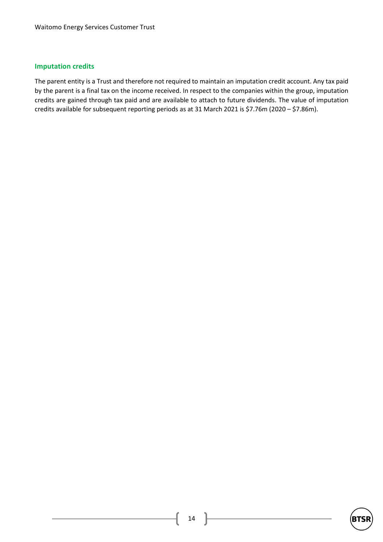#### **Imputation credits**

The parent entity is a Trust and therefore not required to maintain an imputation credit account. Any tax paid by the parent is a final tax on the income received. In respect to the companies within the group, imputation credits are gained through tax paid and are available to attach to future dividends. The value of imputation credits available for subsequent reporting periods as at 31 March 2021 is \$7.76m (2020 – \$7.86m).

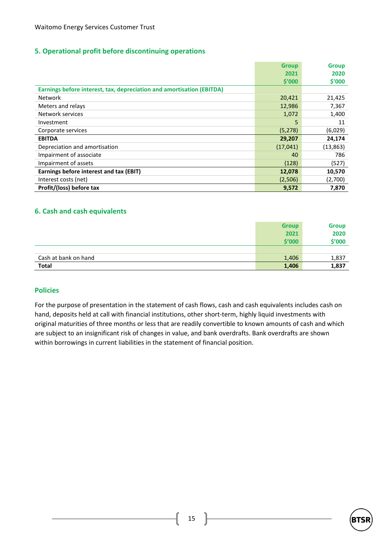### **5. Operational profit before discontinuing operations**

|                                                                       | <b>Group</b> | <b>Group</b> |
|-----------------------------------------------------------------------|--------------|--------------|
|                                                                       | 2021         | 2020         |
|                                                                       | \$′000       | \$′000       |
| Earnings before interest, tax, depreciation and amortisation (EBITDA) |              |              |
| <b>Network</b>                                                        | 20,421       | 21,425       |
| Meters and relays                                                     | 12,986       | 7,367        |
| Network services                                                      | 1,072        | 1,400        |
| Investment                                                            | 5            | 11           |
| Corporate services                                                    | (5, 278)     | (6,029)      |
| <b>EBITDA</b>                                                         | 29,207       | 24,174       |
| Depreciation and amortisation                                         | (17, 041)    | (13, 863)    |
| Impairment of associate                                               | 40           | 786          |
| Impairment of assets                                                  | (128)        | (527)        |
| Earnings before interest and tax (EBIT)                               | 12,078       | 10,570       |
| Interest costs (net)                                                  | (2,506)      | (2,700)      |
| Profit/(loss) before tax                                              | 9,572        | 7,870        |

#### **6. Cash and cash equivalents**

|                      | <b>Group</b> | <b>Group</b> |
|----------------------|--------------|--------------|
|                      | 2021         | 2020         |
|                      | \$′000       | \$'000       |
|                      |              |              |
| Cash at bank on hand | 1,406        | 1,837        |
| Total                | 1,406        | 1,837        |

#### **Policies**

For the purpose of presentation in the statement of cash flows, cash and cash equivalents includes cash on hand, deposits held at call with financial institutions, other short-term, highly liquid investments with original maturities of three months or less that are readily convertible to known amounts of cash and which are subject to an insignificant risk of changes in value, and bank overdrafts. Bank overdrafts are shown within borrowings in current liabilities in the statement of financial position.

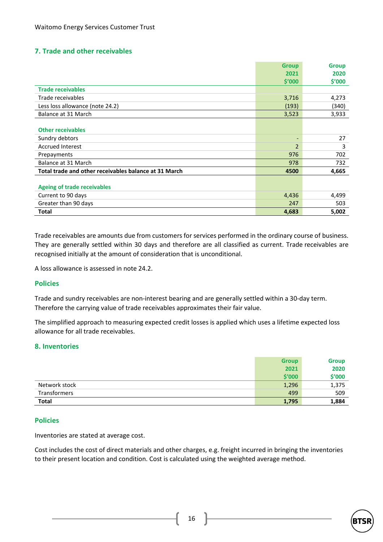## **7. Trade and other receivables**

|                                                       | <b>Group</b>   | <b>Group</b> |
|-------------------------------------------------------|----------------|--------------|
|                                                       | 2021           | 2020         |
|                                                       | \$′000         | \$′000       |
| <b>Trade receivables</b>                              |                |              |
| Trade receivables                                     | 3,716          | 4,273        |
| Less loss allowance (note 24.2)                       | (193)          | (340)        |
| Balance at 31 March                                   | 3,523          | 3,933        |
|                                                       |                |              |
| <b>Other receivables</b>                              |                |              |
| Sundry debtors                                        | -              | 27           |
| <b>Accrued Interest</b>                               | $\overline{2}$ | 3            |
| Prepayments                                           | 976            | 702          |
| Balance at 31 March                                   | 978            | 732          |
| Total trade and other receivables balance at 31 March | 4500           | 4,665        |
|                                                       |                |              |
| <b>Ageing of trade receivables</b>                    |                |              |
| Current to 90 days                                    | 4,436          | 4,499        |
| Greater than 90 days                                  | 247            | 503          |
| <b>Total</b>                                          | 4,683          | 5,002        |

Trade receivables are amounts due from customers for services performed in the ordinary course of business. They are generally settled within 30 days and therefore are all classified as current. Trade receivables are recognised initially at the amount of consideration that is unconditional.

A loss allowance is assessed in note 24.2.

#### **Policies**

Trade and sundry receivables are non-interest bearing and are generally settled within a 30-day term. Therefore the carrying value of trade receivables approximates their fair value.

The simplified approach to measuring expected credit losses is applied which uses a lifetime expected loss allowance for all trade receivables.

#### **8. Inventories**

|               | <b>Group</b> | <b>Group</b> |
|---------------|--------------|--------------|
|               | 2021         | 2020         |
|               | \$′000       | \$'000       |
| Network stock | 1,296        | 1,375        |
| Transformers  | 499          | 509          |
| <b>Total</b>  | 1,795        | 1,884        |

#### **Policies**

Inventories are stated at average cost.

Cost includes the cost of direct materials and other charges, e.g. freight incurred in bringing the inventories to their present location and condition. Cost is calculated using the weighted average method.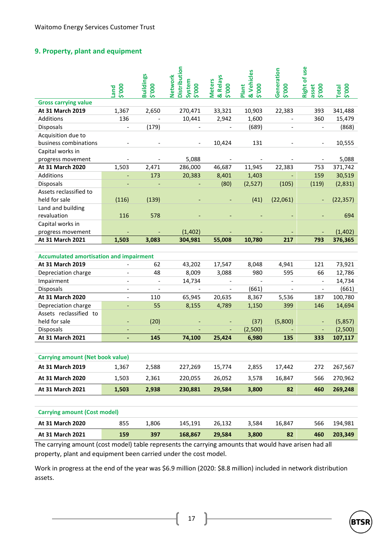## **9. Property, plant and equipment**

|                                                | 5'000<br>puet            | <b>Buildings</b><br>000.\$ | <b>Distribution</b><br><b>Vetwork</b><br>System<br>5'000 | & Relays<br><b>Meters</b><br>000.\$ | & Vehicles<br>Plant<br>5'000 | Generation<br>\$'000 | use<br>Right of<br>2000<br>asset | \$'000<br><b>lepo.</b> |
|------------------------------------------------|--------------------------|----------------------------|----------------------------------------------------------|-------------------------------------|------------------------------|----------------------|----------------------------------|------------------------|
| <b>Gross carrying value</b>                    |                          |                            |                                                          |                                     |                              |                      |                                  |                        |
| At 31 March 2019                               | 1,367                    | 2,650                      | 270,471                                                  | 33,321                              | 10,903                       | 22,383               | 393                              | 341,488                |
| Additions                                      | 136                      |                            | 10,441                                                   | 2,942                               | 1,600                        | $\overline{a}$       | 360                              | 15,479                 |
| <b>Disposals</b>                               |                          | (179)                      |                                                          |                                     | (689)                        |                      |                                  | (868)                  |
| Acquisition due to                             |                          |                            |                                                          |                                     |                              |                      |                                  |                        |
| business combinations                          |                          |                            |                                                          | 10,424                              | 131                          |                      |                                  | 10,555                 |
| Capital works in                               |                          |                            |                                                          |                                     |                              |                      |                                  |                        |
| progress movement                              |                          |                            | 5,088                                                    | $\blacksquare$                      |                              |                      | $\overline{\phantom{a}}$         | 5,088                  |
| At 31 March 2020                               | 1,503                    | 2,471                      | 286,000                                                  | 46,687                              | 11,945                       | 22,383               | 753                              | 371,742                |
| Additions                                      |                          | 173                        | 20,383                                                   | 8,401                               | 1,403                        |                      | 159                              | 30,519                 |
| Disposals                                      |                          |                            |                                                          | (80)                                | (2,527)                      | (105)                | (119)                            | (2,831)                |
| Assets reclassified to                         |                          |                            |                                                          |                                     |                              |                      |                                  |                        |
| held for sale                                  | (116)                    | (139)                      |                                                          |                                     | (41)                         | (22,061)             |                                  | (22, 357)              |
| Land and building                              |                          |                            |                                                          |                                     |                              |                      |                                  |                        |
| revaluation                                    | 116                      | 578                        |                                                          |                                     |                              |                      |                                  | 694                    |
| Capital works in                               |                          |                            |                                                          |                                     |                              |                      |                                  |                        |
| progress movement                              |                          |                            | (1, 402)                                                 |                                     |                              |                      |                                  | (1, 402)               |
| At 31 March 2021                               | 1,503                    | 3,083                      | 304,981                                                  | 55,008                              | 10,780                       | 217                  | 793                              | 376,365                |
|                                                |                          |                            |                                                          |                                     |                              |                      |                                  |                        |
| <b>Accumulated amortisation and impairment</b> |                          |                            |                                                          |                                     |                              |                      |                                  |                        |
| At 31 March 2019                               |                          | 62                         | 43,202                                                   | 17,547                              | 8,048                        | 4,941                | 121                              | 73,921                 |
| Depreciation charge                            |                          | 48                         | 8,009                                                    | 3,088                               | 980                          | 595                  | 66                               | 12,786                 |
| Impairment                                     |                          |                            | 14,734                                                   |                                     |                              |                      |                                  | 14,734                 |
| <b>Disposals</b>                               | $\overline{\phantom{0}}$ | $\frac{1}{2}$              | $\frac{1}{2}$                                            | $\overline{\phantom{0}}$            | (661)                        | $\overline{a}$       | $\frac{1}{2}$                    | (661)                  |
| At 31 March 2020                               | $\overline{a}$           | 110                        | 65,945                                                   | 20,635                              | 8,367                        | 5,536                | 187                              | 100,780                |
| Depreciation charge                            | ÷,                       | 55                         | 8,155                                                    | 4,789                               | 1,150                        | 399                  | 146                              | 14,694                 |
| Assets reclassified to                         |                          |                            |                                                          |                                     |                              |                      |                                  |                        |
| held for sale                                  |                          | (20)                       |                                                          |                                     | (37)                         | (5,800)              |                                  | (5,857)                |
| <b>Disposals</b>                               |                          |                            |                                                          |                                     | (2,500)                      |                      |                                  | (2,500)                |
| At 31 March 2021                               | ÷,                       | 145                        | 74,100                                                   | 25,424                              | 6,980                        | 135                  | 333                              | 107,117                |
|                                                |                          |                            |                                                          |                                     |                              |                      |                                  |                        |
| <b>Carrying amount (Net book value)</b>        |                          |                            |                                                          |                                     |                              |                      |                                  |                        |
| At 31 March 2019                               | 1,367                    | 2,588                      | 227,269                                                  | 15,774                              | 2,855                        | 17,442               | 272                              | 267,567                |
| <b>At 31 March 2020</b>                        | 1,503                    | 2,361                      | 220,055                                                  | 26,052                              | 3,578                        | 16,847               | 566                              | 270,962                |
| At 31 March 2021                               | 1,503                    | 2,938                      | 230,881                                                  | 29,584                              | 3,800                        | 82                   | 460                              | 269,248                |

| <b>Carrying amount (Cost model)</b> |     |      |         |        |       |        |     |         |
|-------------------------------------|-----|------|---------|--------|-------|--------|-----|---------|
| <b>At 31 March 2020</b>             | 855 | .806 | 145.191 | 26.132 | 3.584 | 16.847 | 566 | 194.981 |
| At 31 March 2021                    | 159 | 397  | 168.867 | 29.584 | 3.800 | 82     | 460 | 203.349 |

The carrying amount (cost model) table represents the carrying amounts that would have arisen had all property, plant and equipment been carried under the cost model.

Work in progress at the end of the year was \$6.9 million (2020: \$8.8 million) included in network distribution assets.

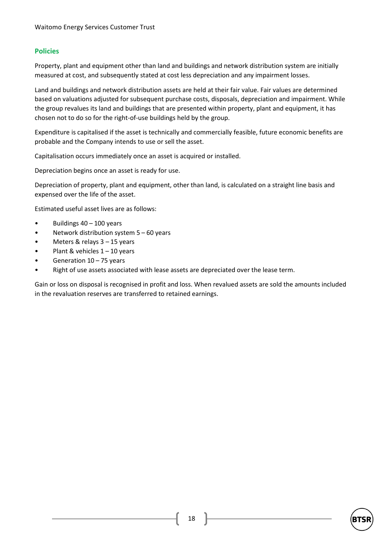### **Policies**

Property, plant and equipment other than land and buildings and network distribution system are initially measured at cost, and subsequently stated at cost less depreciation and any impairment losses.

Land and buildings and network distribution assets are held at their fair value. Fair values are determined based on valuations adjusted for subsequent purchase costs, disposals, depreciation and impairment. While the group revalues its land and buildings that are presented within property, plant and equipment, it has chosen not to do so for the right-of-use buildings held by the group.

Expenditure is capitalised if the asset is technically and commercially feasible, future economic benefits are probable and the Company intends to use or sell the asset.

Capitalisation occurs immediately once an asset is acquired or installed.

Depreciation begins once an asset is ready for use.

Depreciation of property, plant and equipment, other than land, is calculated on a straight line basis and expensed over the life of the asset.

Estimated useful asset lives are as follows:

- Buildings 40 100 years
- Network distribution system  $5 60$  years
- Meters & relays  $3 15$  years
- Plant & vehicles  $1 10$  years
- Generation 10 75 years
- Right of use assets associated with lease assets are depreciated over the lease term.

Gain or loss on disposal is recognised in profit and loss. When revalued assets are sold the amounts included in the revaluation reserves are transferred to retained earnings.

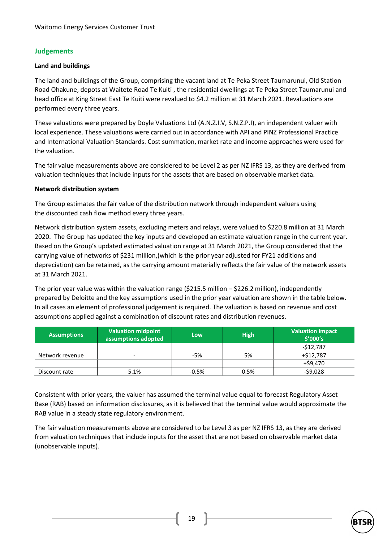### **Judgements**

#### **Land and buildings**

The land and buildings of the Group, comprising the vacant land at Te Peka Street Taumarunui, Old Station Road Ohakune, depots at Waitete Road Te Kuiti , the residential dwellings at Te Peka Street Taumarunui and head office at King Street East Te Kuiti were revalued to \$4.2 million at 31 March 2021. Revaluations are performed every three years.

These valuations were prepared by Doyle Valuations Ltd (A.N.Z.I.V, S.N.Z.P.I), an independent valuer with local experience. These valuations were carried out in accordance with API and PINZ Professional Practice and International Valuation Standards. Cost summation, market rate and income approaches were used for the valuation.

The fair value measurements above are considered to be Level 2 as per NZ IFRS 13, as they are derived from valuation techniques that include inputs for the assets that are based on observable market data.

#### **Network distribution system**

The Group estimates the fair value of the distribution network through independent valuers using the discounted cash flow method every three years.

Network distribution system assets, excluding meters and relays, were valued to \$220.8 million at 31 March 2020. The Group has updated the key inputs and developed an estimate valuation range in the current year. Based on the Group's updated estimated valuation range at 31 March 2021, the Group considered that the carrying value of networks of \$231 million,(which is the prior year adjusted for FY21 additions and depreciation) can be retained, as the carrying amount materially reflects the fair value of the network assets at 31 March 2021.

The prior year value was within the valuation range (\$215.5 million – \$226.2 million), independently prepared by Deloitte and the key assumptions used in the prior year valuation are shown in the table below. In all cases an element of professional judgement is required. The valuation is based on revenue and cost assumptions applied against a combination of discount rates and distribution revenues.

| <b>Assumptions</b> | Valuation midpoint<br>assumptions adopted | Low     | <b>High</b> | Valuation impact<br>\$'000's |
|--------------------|-------------------------------------------|---------|-------------|------------------------------|
|                    |                                           |         |             | $-512,787$                   |
| Network revenue    | $\overline{\phantom{a}}$                  | $-5%$   | 5%          | $+ $12,787$                  |
|                    |                                           |         |             | $+$ \$9,470                  |
| Discount rate      | 5.1%                                      | $-0.5%$ | 0.5%        | $-59,028$                    |

Consistent with prior years, the valuer has assumed the terminal value equal to forecast Regulatory Asset Base (RAB) based on information disclosures, as it is believed that the terminal value would approximate the RAB value in a steady state regulatory environment.

The fair valuation measurements above are considered to be Level 3 as per NZ IFRS 13, as they are derived from valuation techniques that include inputs for the asset that are not based on observable market data (unobservable inputs).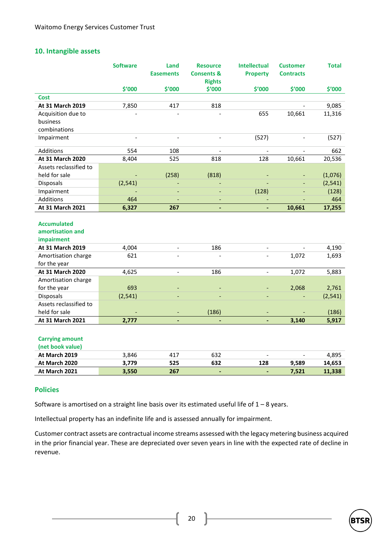#### **10. Intangible assets**

|                                                      | <b>Software</b> | Land<br><b>Easements</b> | <b>Resource</b><br><b>Consents &amp;</b> | <b>Intellectual</b><br><b>Property</b> | <b>Customer</b><br><b>Contracts</b> | <b>Total</b> |
|------------------------------------------------------|-----------------|--------------------------|------------------------------------------|----------------------------------------|-------------------------------------|--------------|
|                                                      |                 |                          | <b>Rights</b>                            |                                        |                                     |              |
|                                                      | \$'000          | \$'000                   | \$'000                                   | \$'000                                 | \$'000                              | \$'000       |
| <b>Cost</b>                                          |                 |                          |                                          |                                        |                                     |              |
| At 31 March 2019                                     | 7,850           | 417                      | 818                                      |                                        |                                     | 9,085        |
| Acquisition due to                                   |                 |                          |                                          | 655                                    | 10,661                              | 11,316       |
| business                                             |                 |                          |                                          |                                        |                                     |              |
| combinations                                         |                 |                          |                                          |                                        |                                     |              |
| Impairment                                           |                 | $\overline{a}$           | $\overline{a}$                           | (527)                                  |                                     | (527)        |
| Additions                                            | 554             | 108                      | $\overline{\phantom{a}}$                 |                                        | $\qquad \qquad -$                   | 662          |
| At 31 March 2020                                     | 8,404           | 525                      | 818                                      | 128                                    | 10,661                              | 20,536       |
| Assets reclassified to                               |                 |                          |                                          |                                        |                                     |              |
| held for sale                                        |                 | (258)                    | (818)                                    |                                        |                                     | (1,076)      |
| <b>Disposals</b>                                     | (2, 541)        | $\overline{\phantom{a}}$ |                                          |                                        | $\overline{\phantom{a}}$            | (2, 541)     |
| Impairment                                           |                 | $\blacksquare$           | ÷,                                       | (128)                                  |                                     | (128)        |
| Additions                                            | 464             | $\overline{\phantom{a}}$ | ٠                                        |                                        |                                     | 464          |
| At 31 March 2021                                     | 6,327           | 267                      | ٠                                        |                                        | 10,661                              | 17,255       |
| <b>Accumulated</b><br>amortisation and<br>impairment |                 |                          |                                          |                                        |                                     |              |
| At 31 March 2019                                     | 4,004           | $\overline{\phantom{a}}$ | 186                                      |                                        |                                     | 4,190        |
| Amortisation charge                                  | 621             | $\overline{a}$           |                                          |                                        | 1,072                               | 1,693        |
| for the year                                         |                 |                          |                                          |                                        |                                     |              |
| At 31 March 2020                                     | 4,625           | $\bar{\phantom{a}}$      | 186                                      | $\equiv$                               | 1,072                               | 5,883        |
| Amortisation charge                                  |                 |                          |                                          |                                        |                                     |              |
| for the year                                         | 693             |                          |                                          |                                        | 2,068                               | 2,761        |
| Disposals                                            | (2, 541)        | $\blacksquare$           | ÷,                                       | $\overline{\phantom{a}}$               |                                     | (2, 541)     |
| Assets reclassified to                               |                 |                          |                                          |                                        |                                     |              |
| held for sale                                        |                 |                          | (186)                                    |                                        |                                     | (186)        |
| At 31 March 2021                                     | 2,777           | $\blacksquare$           | ä,                                       |                                        | 3,140                               | 5,917        |
| <b>Carrying amount</b><br>(net book value)           |                 |                          |                                          |                                        |                                     |              |
| At March 2019                                        | 3,846           | 417                      | 632                                      |                                        |                                     | 4,895        |
| At March 2020                                        | 3,779           | 525                      | 632                                      | 128                                    | 9,589                               | 14,653       |
| At March 2021                                        | 3,550           | 267                      | ٠                                        | ٠                                      | 7,521                               | 11,338       |

#### **Policies**

Software is amortised on a straight line basis over its estimated useful life of  $1 - 8$  years.

Intellectual property has an indefinite life and is assessed annually for impairment.

Customer contract assets are contractual income streams assessed with the legacy metering business acquired in the prior financial year. These are depreciated over seven years in line with the expected rate of decline in revenue.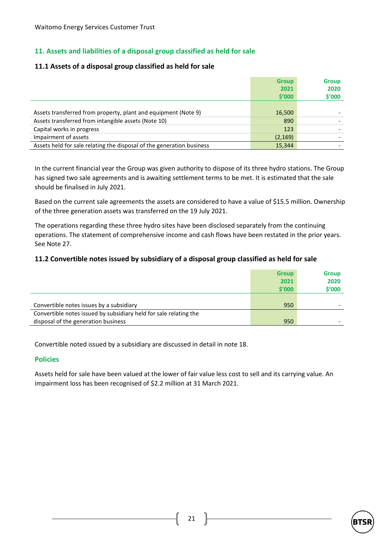## **11. Assets and liabilities of a disposal group classified as held for sale**

#### **11.1 Assets of a disposal group classified as held for sale**

|                                                                       | <b>Group</b>   | <b>Group</b>   |
|-----------------------------------------------------------------------|----------------|----------------|
|                                                                       | 2021<br>\$′000 | 2020<br>\$'000 |
|                                                                       |                |                |
| Assets transferred from property, plant and equipment (Note 9)        | 16,500         |                |
| Assets transferred from intangible assets (Note 10)                   | 890            |                |
| Capital works in progress                                             | 123            |                |
| Impairment of assets                                                  | (2, 169)       |                |
| Assets held for sale relating the disposal of the generation business | 15.344         |                |

In the current financial year the Group was given authority to dispose of its three hydro stations. The Group has signed two sale agreements and is awaiting settlement terms to be met. It is estimated that the sale should be finalised in July 2021.

Based on the current sale agreements the assets are considered to have a value of \$15.5 million. Ownership of the three generation assets was transferred on the 19 July 2021.

The operations regarding these three hydro sites have been disclosed separately from the continuing operations. The statement of comprehensive income and cash flows have been restated in the prior years. See Note 27.

#### **11.2 Convertible notes issued by subsidiary of a disposal group classified as held for sale**

|                                                                   | <b>Group</b> | <b>Group</b> |
|-------------------------------------------------------------------|--------------|--------------|
|                                                                   | 2021         | 2020         |
|                                                                   | \$′000       | \$'000       |
|                                                                   |              |              |
| Convertible notes issues by a subsidiary                          | 950          |              |
| Convertible notes issued by subsidiary held for sale relating the |              |              |
| disposal of the generation business                               | 950          |              |

Convertible noted issued by a subsidiary are discussed in detail in note 18.

#### **Policies**

Assets held for sale have been valued at the lower of fair value less cost to sell and its carrying value. An impairment loss has been recognised of \$2.2 million at 31 March 2021.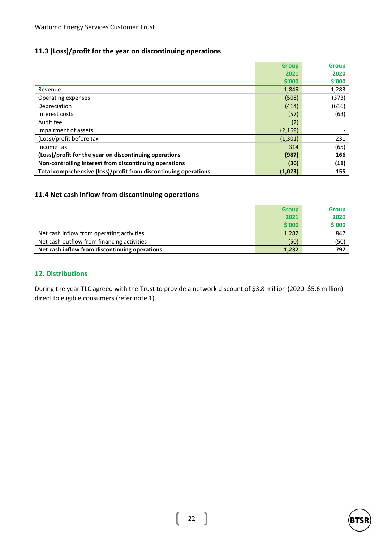## **11.3 (Loss)/profit for the year on discontinuing operations**

|                                                                 | <b>Group</b>      | <b>Group</b> |
|-----------------------------------------------------------------|-------------------|--------------|
|                                                                 | 2021              | 2020         |
|                                                                 | $\mathsf{S}'$ 000 | \$′000       |
| Revenue                                                         | 1,849             | 1,283        |
| Operating expenses                                              | (508)             | (373)        |
| Depreciation                                                    | (414)             | (616)        |
| Interest costs                                                  | (57)              | (63)         |
| Audit fee                                                       | (2)               |              |
| Impairment of assets                                            | (2, 169)          |              |
| (Loss)/profit before tax                                        | (1, 301)          | 231          |
| Income tax                                                      | 314               | (65)         |
| (Loss)/profit for the year on discontinuing operations          | (987)             | 166          |
| Non-controlling interest from discontinuing operations          | (36)              | (11)         |
| Total comprehensive (loss)/profit from discontinuing operations | (1,023)           | 155          |

## **11.4 Net cash inflow from discontinuing operations**

|                                               | <b>Group</b> | <b>Group</b> |
|-----------------------------------------------|--------------|--------------|
|                                               | 2021         | 2020         |
|                                               | \$′000       | \$'000       |
| Net cash inflow from operating activities     | 1,282        | 847          |
| Net cash outflow from financing activities    | (50)         | (50)         |
| Net cash inflow from discontinuing operations | 1,232        | 797          |

#### **12. Distributions**

During the year TLC agreed with the Trust to provide a network discount of \$3.8 million (2020: \$5.6 million) direct to eligible consumers (refer note 1).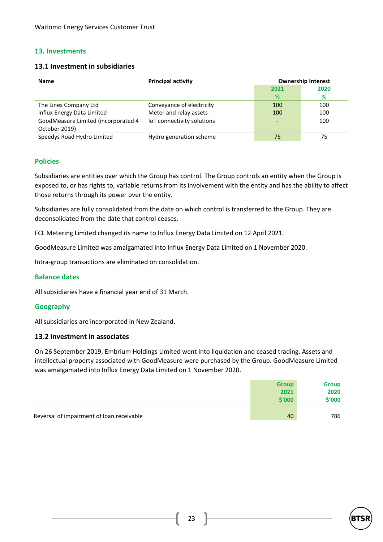### **13. Investments**

#### **13.1 Investment in subsidiaries**

| <b>Name</b>                                          | <b>Principal activity</b>  | <b>Ownership Interest</b><br>2021<br>2020 |     |  |
|------------------------------------------------------|----------------------------|-------------------------------------------|-----|--|
|                                                      |                            |                                           |     |  |
|                                                      |                            | %                                         | %   |  |
| The Lines Company Ltd                                | Conveyance of electricity  | 100                                       | 100 |  |
| Influx Energy Data Limited                           | Meter and relay assets     | 100                                       | 100 |  |
| GoodMeasure Limited (incorporated 4<br>October 2019) | IoT connectivity solutions |                                           | 100 |  |
| Speedys Road Hydro Limited                           | Hydro generation scheme    | 75                                        | 75  |  |

#### **Policies**

Subsidiaries are entities over which the Group has control. The Group controls an entity when the Group is exposed to, or has rights to, variable returns from its involvement with the entity and has the ability to affect those returns through its power over the entity.

Subsidiaries are fully consolidated from the date on which control is transferred to the Group. They are deconsolidated from the date that control ceases.

FCL Metering Limited changed its name to Influx Energy Data Limited on 12 April 2021.

GoodMeasure Limited was amalgamated into Influx Energy Data Limited on 1 November 2020.

Intra-group transactions are eliminated on consolidation.

#### **Balance dates**

All subsidiaries have a financial year end of 31 March.

#### **Geography**

All subsidiaries are incorporated in New Zealand.

#### **13.2 Investment in associates**

On 26 September 2019, Embrium Holdings Limited went into liquidation and ceased trading. Assets and intellectual property associated with GoodMeasure were purchased by the Group. GoodMeasure Limited was amalgamated into Influx Energy Data Limited on 1 November 2020.

|                                           | <b>Group</b><br>2021 | <b>Group</b><br>2020 |
|-------------------------------------------|----------------------|----------------------|
|                                           | \$'000               | \$'000               |
|                                           |                      |                      |
| Reversal of impairment of loan receivable | 40                   | 786                  |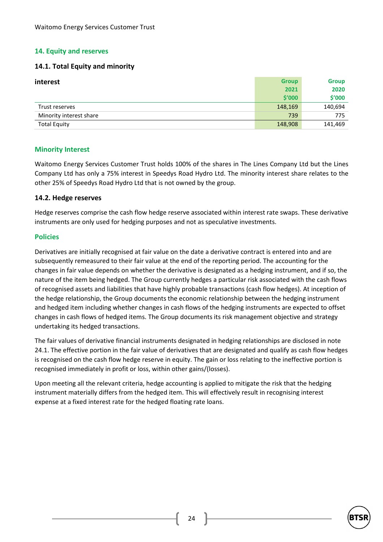### **14. Equity and reserves**

#### **14.1. Total Equity and minority**

| interest                | <b>Group</b> | <b>Group</b> |
|-------------------------|--------------|--------------|
|                         | 2021         | 2020         |
|                         | \$'000       | \$'000       |
| Trust reserves          | 148,169      | 140,694      |
| Minority interest share | 739          | 775          |
| <b>Total Equity</b>     | 148,908      | 141,469      |

#### **Minority Interest**

Waitomo Energy Services Customer Trust holds 100% of the shares in The Lines Company Ltd but the Lines Company Ltd has only a 75% interest in Speedys Road Hydro Ltd. The minority interest share relates to the other 25% of Speedys Road Hydro Ltd that is not owned by the group.

#### **14.2. Hedge reserves**

Hedge reserves comprise the cash flow hedge reserve associated within interest rate swaps. These derivative instruments are only used for hedging purposes and not as speculative investments.

#### **Policies**

Derivatives are initially recognised at fair value on the date a derivative contract is entered into and are subsequently remeasured to their fair value at the end of the reporting period. The accounting for the changes in fair value depends on whether the derivative is designated as a hedging instrument, and if so, the nature of the item being hedged. The Group currently hedges a particular risk associated with the cash flows of recognised assets and liabilities that have highly probable transactions (cash flow hedges). At inception of the hedge relationship, the Group documents the economic relationship between the hedging instrument and hedged item including whether changes in cash flows of the hedging instruments are expected to offset changes in cash flows of hedged items. The Group documents its risk management objective and strategy undertaking its hedged transactions.

The fair values of derivative financial instruments designated in hedging relationships are disclosed in note 24.1. The effective portion in the fair value of derivatives that are designated and qualify as cash flow hedges is recognised on the cash flow hedge reserve in equity. The gain or loss relating to the ineffective portion is recognised immediately in profit or loss, within other gains/(losses).

Upon meeting all the relevant criteria, hedge accounting is applied to mitigate the risk that the hedging instrument materially differs from the hedged item. This will effectively result in recognising interest expense at a fixed interest rate for the hedged floating rate loans.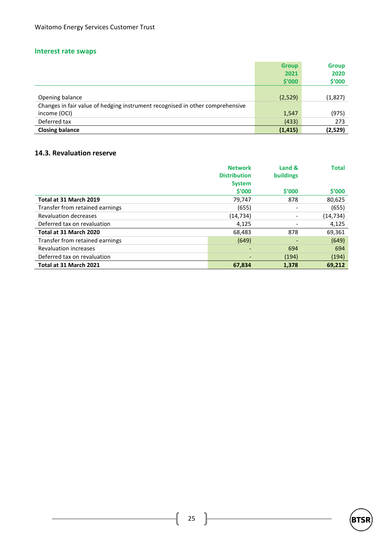## **Interest rate swaps**

|                                                                               | <b>Group</b> | <b>Group</b> |
|-------------------------------------------------------------------------------|--------------|--------------|
|                                                                               | 2021         | 2020         |
|                                                                               | \$′000       | \$'000       |
|                                                                               |              |              |
| Opening balance                                                               | (2,529)      | (1,827)      |
| Changes in fair value of hedging instrument recognised in other comprehensive |              |              |
| income (OCI)                                                                  | 1,547        | (975)        |
| Deferred tax                                                                  | (433)        | 273          |
| <b>Closing balance</b>                                                        | (1, 415)     | (2,529)      |

## **14.3. Revaluation reserve**

|                                 | <b>Network</b>           | Land &                   | <b>Total</b> |
|---------------------------------|--------------------------|--------------------------|--------------|
|                                 | <b>Distribution</b>      | <b>buildings</b>         |              |
|                                 | <b>System</b>            |                          |              |
|                                 | \$′000                   | \$′000                   | \$′000       |
| Total at 31 March 2019          | 79,747                   | 878                      | 80,625       |
| Transfer from retained earnings | (655)                    | $\overline{\phantom{a}}$ | (655)        |
| <b>Revaluation decreases</b>    | (14, 734)                | ٠                        | (14, 734)    |
| Deferred tax on revaluation     | 4,125                    |                          | 4,125        |
| Total at 31 March 2020          | 68,483                   | 878                      | 69,361       |
| Transfer from retained earnings | (649)                    | ٠                        | (649)        |
| <b>Revaluation increases</b>    | $\overline{\phantom{a}}$ | 694                      | 694          |
| Deferred tax on revaluation     | ٠                        | (194)                    | (194)        |
| Total at 31 March 2021          | 67.834                   | 1.378                    | 69.212       |

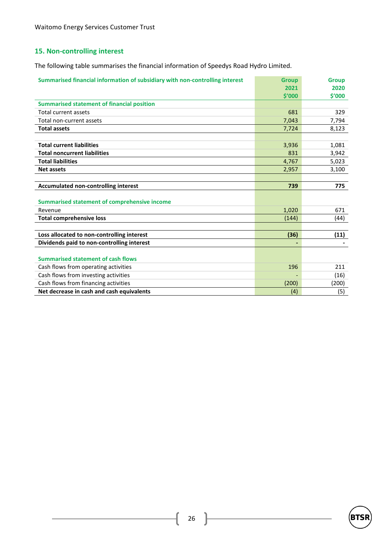## **15. Non-controlling interest**

The following table summarises the financial information of Speedys Road Hydro Limited.

| Summarised financial information of subsidiary with non-controlling interest | <b>Group</b> | <b>Group</b> |
|------------------------------------------------------------------------------|--------------|--------------|
|                                                                              | 2021         | 2020         |
|                                                                              | \$′000       | \$′000       |
| <b>Summarised statement of financial position</b>                            |              |              |
| <b>Total current assets</b>                                                  | 681          | 329          |
| Total non-current assets                                                     | 7,043        | 7,794        |
| <b>Total assets</b>                                                          | 7,724        | 8,123        |
|                                                                              |              |              |
| <b>Total current liabilities</b>                                             | 3,936        | 1,081        |
| <b>Total noncurrent liabilities</b>                                          | 831          | 3,942        |
| <b>Total liabilities</b>                                                     | 4,767        | 5,023        |
| <b>Net assets</b>                                                            | 2,957        | 3,100        |
|                                                                              |              |              |
| <b>Accumulated non-controlling interest</b>                                  | 739          | 775          |
|                                                                              |              |              |
| <b>Summarised statement of comprehensive income</b>                          |              |              |
| Revenue                                                                      | 1,020        | 671          |
| <b>Total comprehensive loss</b>                                              | (144)        | (44)         |
|                                                                              |              |              |
| Loss allocated to non-controlling interest                                   | (36)         | (11)         |
| Dividends paid to non-controlling interest                                   |              |              |
|                                                                              |              |              |
| <b>Summarised statement of cash flows</b>                                    |              |              |
| Cash flows from operating activities                                         | 196          | 211          |
| Cash flows from investing activities                                         |              | (16)         |
| Cash flows from financing activities                                         | (200)        | (200)        |
| Net decrease in cash and cash equivalents                                    | (4)          | (5)          |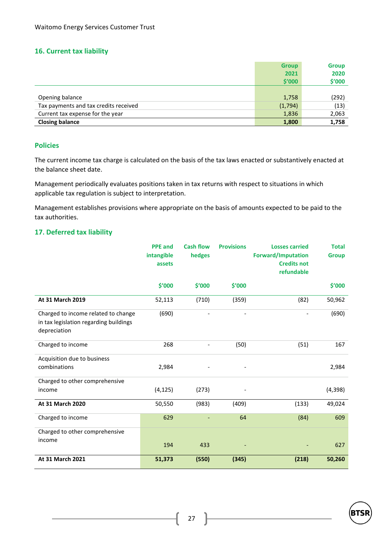#### **16. Current tax liability**

|                                       | <b>Group</b> | <b>Group</b> |
|---------------------------------------|--------------|--------------|
|                                       | 2021         | 2020         |
|                                       | \$′000       | \$'000       |
|                                       |              |              |
| Opening balance                       | 1,758        | (292)        |
| Tax payments and tax credits received | (1,794)      | (13)         |
| Current tax expense for the year      | 1,836        | 2,063        |
| <b>Closing balance</b>                | 1,800        | 1,758        |

#### **Policies**

The current income tax charge is calculated on the basis of the tax laws enacted or substantively enacted at the balance sheet date.

Management periodically evaluates positions taken in tax returns with respect to situations in which applicable tax regulation is subject to interpretation.

Management establishes provisions where appropriate on the basis of amounts expected to be paid to the tax authorities.

#### **17. Deferred tax liability**

|                                                                                               | <b>PPE</b> and<br>intangible<br>assets | <b>Cash flow</b><br>hedges | <b>Provisions</b> | <b>Losses carried</b><br><b>Forward/Imputation</b><br><b>Credits not</b><br>refundable | <b>Total</b><br><b>Group</b> |
|-----------------------------------------------------------------------------------------------|----------------------------------------|----------------------------|-------------------|----------------------------------------------------------------------------------------|------------------------------|
|                                                                                               | \$'000                                 | \$′000                     | \$'000            |                                                                                        | \$'000                       |
| At 31 March 2019                                                                              | 52,113                                 | (710)                      | (359)             | (82)                                                                                   | 50,962                       |
| Charged to income related to change<br>in tax legislation regarding buildings<br>depreciation | (690)                                  |                            |                   |                                                                                        | (690)                        |
| Charged to income                                                                             | 268                                    |                            | (50)              | (51)                                                                                   | 167                          |
| Acquisition due to business                                                                   |                                        |                            |                   |                                                                                        |                              |
| combinations                                                                                  | 2,984                                  |                            |                   |                                                                                        | 2,984                        |
| Charged to other comprehensive                                                                |                                        |                            |                   |                                                                                        |                              |
| income                                                                                        | (4, 125)                               | (273)                      |                   |                                                                                        | (4, 398)                     |
| At 31 March 2020                                                                              | 50,550                                 | (983)                      | (409)             | (133)                                                                                  | 49,024                       |
| Charged to income                                                                             | 629                                    |                            | 64                | (84)                                                                                   | 609                          |
| Charged to other comprehensive                                                                |                                        |                            |                   |                                                                                        |                              |
| income                                                                                        | 194                                    | 433                        |                   |                                                                                        | 627                          |
| At 31 March 2021                                                                              | 51,373                                 | (550)                      | (345)             | (218)                                                                                  | 50,260                       |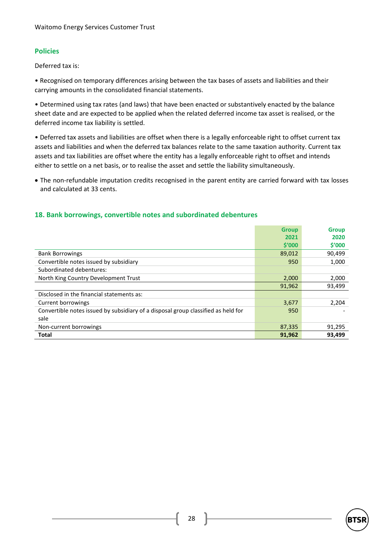## **Policies**

Deferred tax is:

• Recognised on temporary differences arising between the tax bases of assets and liabilities and their carrying amounts in the consolidated financial statements.

• Determined using tax rates (and laws) that have been enacted or substantively enacted by the balance sheet date and are expected to be applied when the related deferred income tax asset is realised, or the deferred income tax liability is settled.

• Deferred tax assets and liabilities are offset when there is a legally enforceable right to offset current tax assets and liabilities and when the deferred tax balances relate to the same taxation authority. Current tax assets and tax liabilities are offset where the entity has a legally enforceable right to offset and intends either to settle on a net basis, or to realise the asset and settle the liability simultaneously.

• The non-refundable imputation credits recognised in the parent entity are carried forward with tax losses and calculated at 33 cents.

### **18. Bank borrowings, convertible notes and subordinated debentures**

|                                                                                   | <b>Group</b> | <b>Group</b> |
|-----------------------------------------------------------------------------------|--------------|--------------|
|                                                                                   | 2021         | 2020         |
|                                                                                   | \$′000       | \$′000       |
| <b>Bank Borrowings</b>                                                            | 89,012       | 90,499       |
| Convertible notes issued by subsidiary                                            | 950          | 1,000        |
| Subordinated debentures:                                                          |              |              |
| North King Country Development Trust                                              | 2,000        | 2,000        |
|                                                                                   | 91,962       | 93,499       |
| Disclosed in the financial statements as:                                         |              |              |
| Current borrowings                                                                | 3,677        | 2,204        |
| Convertible notes issued by subsidiary of a disposal group classified as held for | 950          |              |
| sale                                                                              |              |              |
| Non-current borrowings                                                            | 87,335       | 91,295       |
| <b>Total</b>                                                                      | 91,962       | 93,499       |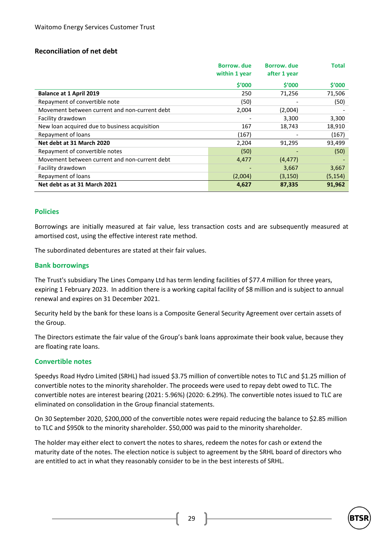### **Reconciliation of net debt**

|                                               | Borrow, due<br>within 1 year | <b>Borrow</b> , due<br>after 1 year | Total    |
|-----------------------------------------------|------------------------------|-------------------------------------|----------|
|                                               | \$′000                       | \$′000                              | \$′000   |
| <b>Balance at 1 April 2019</b>                | 250                          | 71,256                              | 71,506   |
| Repayment of convertible note                 | (50)                         |                                     | (50)     |
| Movement between current and non-current debt | 2,004                        | (2,004)                             |          |
| Facility drawdown                             |                              | 3,300                               | 3,300    |
| New loan acquired due to business acquisition | 167                          | 18,743                              | 18,910   |
| Repayment of loans                            | (167)                        |                                     | (167)    |
| Net debt at 31 March 2020                     | 2,204                        | 91,295                              | 93,499   |
| Repayment of convertible notes                | (50)                         |                                     | (50)     |
| Movement between current and non-current debt | 4,477                        | (4, 477)                            |          |
| Facility drawdown                             |                              | 3,667                               | 3,667    |
| Repayment of loans                            | (2,004)                      | (3, 150)                            | (5, 154) |
| Net debt as at 31 March 2021                  | 4,627                        | 87,335                              | 91,962   |

#### **Policies**

Borrowings are initially measured at fair value, less transaction costs and are subsequently measured at amortised cost, using the effective interest rate method.

The subordinated debentures are stated at their fair values.

#### **Bank borrowings**

The Trust's subsidiary The Lines Company Ltd has term lending facilities of \$77.4 million for three years, expiring 1 February 2023. In addition there is a working capital facility of \$8 million and is subject to annual renewal and expires on 31 December 2021.

Security held by the bank for these loans is a Composite General Security Agreement over certain assets of the Group.

The Directors estimate the fair value of the Group's bank loans approximate their book value, because they are floating rate loans.

#### **Convertible notes**

Speedys Road Hydro Limited (SRHL) had issued \$3.75 million of convertible notes to TLC and \$1.25 million of convertible notes to the minority shareholder. The proceeds were used to repay debt owed to TLC. The convertible notes are interest bearing (2021: 5.96%) (2020: 6.29%). The convertible notes issued to TLC are eliminated on consolidation in the Group financial statements.

On 30 September 2020, \$200,000 of the convertible notes were repaid reducing the balance to \$2.85 million to TLC and \$950k to the minority shareholder. \$50,000 was paid to the minority shareholder.

The holder may either elect to convert the notes to shares, redeem the notes for cash or extend the maturity date of the notes. The election notice is subject to agreement by the SRHL board of directors who are entitled to act in what they reasonably consider to be in the best interests of SRHL.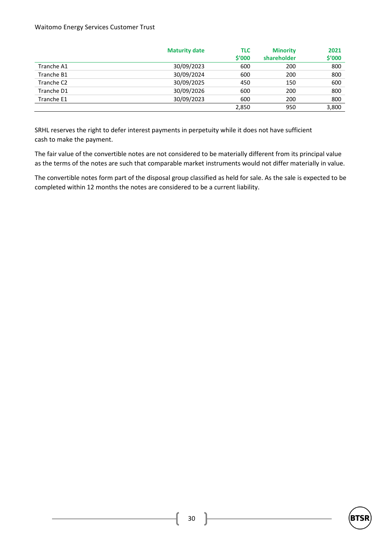#### Waitomo Energy Services Customer Trust

|                        | <b>Maturity date</b><br>TLC<br><b>Minority</b> |        |             | 2021   |
|------------------------|------------------------------------------------|--------|-------------|--------|
|                        |                                                | \$′000 | shareholder | \$'000 |
| Tranche A1             | 30/09/2023                                     | 600    | 200         | 800    |
| Tranche B1             | 30/09/2024                                     | 600    | 200         | 800    |
| Tranche C <sub>2</sub> | 30/09/2025                                     | 450    | 150         | 600    |
| Tranche D1             | 30/09/2026                                     | 600    | 200         | 800    |
| Tranche E1             | 30/09/2023                                     | 600    | 200         | 800    |
|                        |                                                | 2,850  | 950         | 3,800  |

SRHL reserves the right to defer interest payments in perpetuity while it does not have sufficient cash to make the payment.

The fair value of the convertible notes are not considered to be materially different from its principal value as the terms of the notes are such that comparable market instruments would not differ materially in value.

The convertible notes form part of the disposal group classified as held for sale. As the sale is expected to be completed within 12 months the notes are considered to be a current liability.

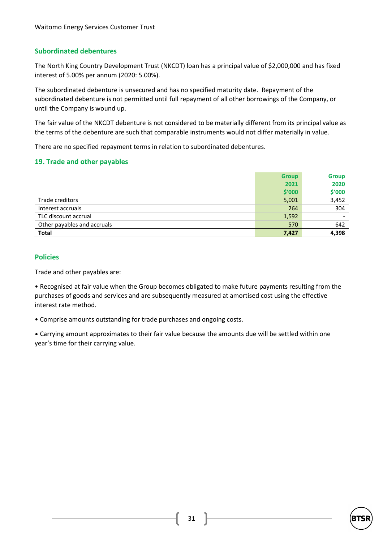### **Subordinated debentures**

The North King Country Development Trust (NKCDT) loan has a principal value of \$2,000,000 and has fixed interest of 5.00% per annum (2020: 5.00%).

The subordinated debenture is unsecured and has no specified maturity date. Repayment of the subordinated debenture is not permitted until full repayment of all other borrowings of the Company, or until the Company is wound up.

The fair value of the NKCDT debenture is not considered to be materially different from its principal value as the terms of the debenture are such that comparable instruments would not differ materially in value.

There are no specified repayment terms in relation to subordinated debentures.

#### **19. Trade and other payables**

|                             | <b>Group</b> | <b>Group</b> |
|-----------------------------|--------------|--------------|
|                             | 2021         | 2020         |
|                             | \$′000       | \$'000       |
| Trade creditors             | 5,001        | 3,452        |
| Interest accruals           | 264          | 304          |
| TLC discount accrual        | 1,592        |              |
| Other payables and accruals | 570          | 642          |
| <b>Total</b>                | 7,427        | 4,398        |

#### **Policies**

Trade and other payables are:

• Recognised at fair value when the Group becomes obligated to make future payments resulting from the purchases of goods and services and are subsequently measured at amortised cost using the effective interest rate method.

• Comprise amounts outstanding for trade purchases and ongoing costs.

• Carrying amount approximates to their fair value because the amounts due will be settled within one year's time for their carrying value.

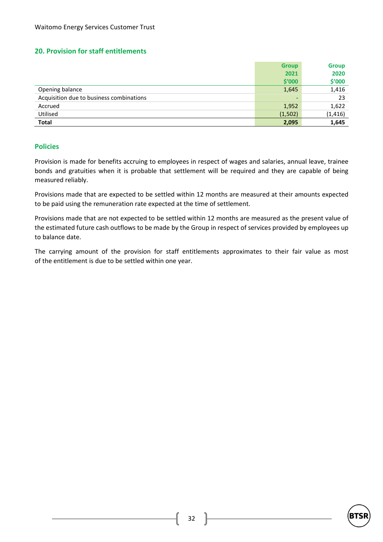#### **20. Provision for staff entitlements**

|                                          | <b>Group</b>             | <b>Group</b> |
|------------------------------------------|--------------------------|--------------|
|                                          | 2021                     | 2020         |
|                                          | \$′000                   | \$′000       |
| Opening balance                          | 1,645                    | 1,416        |
| Acquisition due to business combinations | $\overline{\phantom{a}}$ | 23           |
| Accrued                                  | 1,952                    | 1,622        |
| Utilised                                 | (1,502)                  | (1, 416)     |
| <b>Total</b>                             | 2,095                    | 1,645        |

#### **Policies**

Provision is made for benefits accruing to employees in respect of wages and salaries, annual leave, trainee bonds and gratuities when it is probable that settlement will be required and they are capable of being measured reliably.

Provisions made that are expected to be settled within 12 months are measured at their amounts expected to be paid using the remuneration rate expected at the time of settlement.

Provisions made that are not expected to be settled within 12 months are measured as the present value of the estimated future cash outflows to be made by the Group in respect of services provided by employees up to balance date.

The carrying amount of the provision for staff entitlements approximates to their fair value as most of the entitlement is due to be settled within one year.

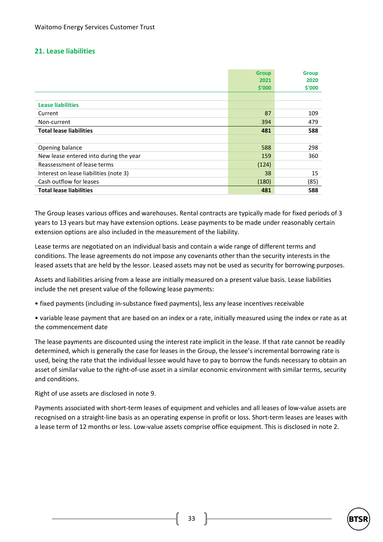#### **21. Lease liabilities**

|                                        | <b>Group</b> | <b>Group</b> |
|----------------------------------------|--------------|--------------|
|                                        | 2021         | 2020         |
|                                        | \$'000       | \$'000       |
|                                        |              |              |
| <b>Lease liabilities</b>               |              |              |
| Current                                | 87           | 109          |
| Non-current                            | 394          | 479          |
| <b>Total lease liabilities</b>         | 481          | 588          |
|                                        |              |              |
| Opening balance                        | 588          | 298          |
| New lease entered into during the year | 159          | 360          |
| Reassessment of lease terms            | (124)        |              |
| Interest on lease liabilities (note 3) | 38           | 15           |
| Cash outflow for leases                | (180)        | (85)         |
| <b>Total lease liabilities</b>         | 481          | 588          |

The Group leases various offices and warehouses. Rental contracts are typically made for fixed periods of 3 years to 13 years but may have extension options. Lease payments to be made under reasonably certain extension options are also included in the measurement of the liability.

Lease terms are negotiated on an individual basis and contain a wide range of different terms and conditions. The lease agreements do not impose any covenants other than the security interests in the leased assets that are held by the lessor. Leased assets may not be used as security for borrowing purposes.

Assets and liabilities arising from a lease are initially measured on a present value basis. Lease liabilities include the net present value of the following lease payments:

- fixed payments (including in-substance fixed payments), less any lease incentives receivable
- variable lease payment that are based on an index or a rate, initially measured using the index or rate as at the commencement date

The lease payments are discounted using the interest rate implicit in the lease. If that rate cannot be readily determined, which is generally the case for leases in the Group, the lessee's incremental borrowing rate is used, being the rate that the individual lessee would have to pay to borrow the funds necessary to obtain an asset of similar value to the right-of-use asset in a similar economic environment with similar terms, security and conditions.

Right of use assets are disclosed in note 9.

Payments associated with short-term leases of equipment and vehicles and all leases of low-value assets are recognised on a straight-line basis as an operating expense in profit or loss. Short-term leases are leases with a lease term of 12 months or less. Low-value assets comprise office equipment. This is disclosed in note 2.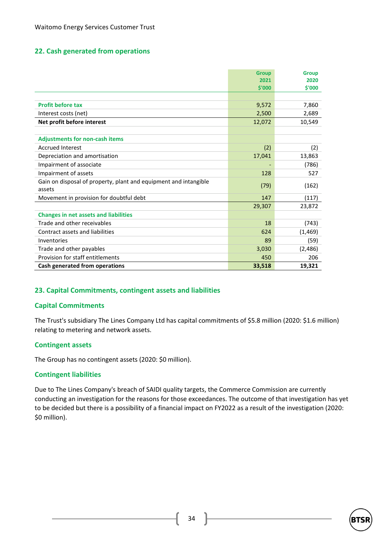#### **22. Cash generated from operations**

|                                                                  | <b>Group</b> | <b>Group</b> |
|------------------------------------------------------------------|--------------|--------------|
|                                                                  | 2021         | 2020         |
|                                                                  | \$'000       | \$'000       |
|                                                                  |              |              |
| <b>Profit before tax</b>                                         | 9,572        | 7,860        |
| Interest costs (net)                                             | 2,500        | 2,689        |
| Net profit before interest                                       | 12,072       | 10,549       |
|                                                                  |              |              |
| <b>Adjustments for non-cash items</b>                            |              |              |
| <b>Accrued Interest</b>                                          | (2)          | (2)          |
| Depreciation and amortisation                                    | 17,041       | 13,863       |
| Impairment of associate                                          |              | (786)        |
| Impairment of assets                                             | 128          | 527          |
| Gain on disposal of property, plant and equipment and intangible | (79)         |              |
| assets                                                           |              | (162)        |
| Movement in provision for doubtful debt                          | 147          | (117)        |
|                                                                  | 29,307       | 23,872       |
| <b>Changes in net assets and liabilities</b>                     |              |              |
| Trade and other receivables                                      | 18           | (743)        |
| Contract assets and liabilities                                  | 624          | (1, 469)     |
| Inventories                                                      | 89           | (59)         |
| Trade and other payables                                         | 3,030        | (2,486)      |
| Provision for staff entitlements                                 | 450          | 206          |
| Cash generated from operations                                   | 33,518       | 19,321       |

#### **23. Capital Commitments, contingent assets and liabilities**

#### **Capital Commitments**

The Trust's subsidiary The Lines Company Ltd has capital commitments of \$5.8 million (2020: \$1.6 million) relating to metering and network assets.

#### **Contingent assets**

The Group has no contingent assets (2020: \$0 million).

#### **Contingent liabilities**

Due to The Lines Company's breach of SAIDI quality targets, the Commerce Commission are currently conducting an investigation for the reasons for those exceedances. The outcome of that investigation has yet to be decided but there is a possibility of a financial impact on FY2022 as a result of the investigation (2020: \$0 million).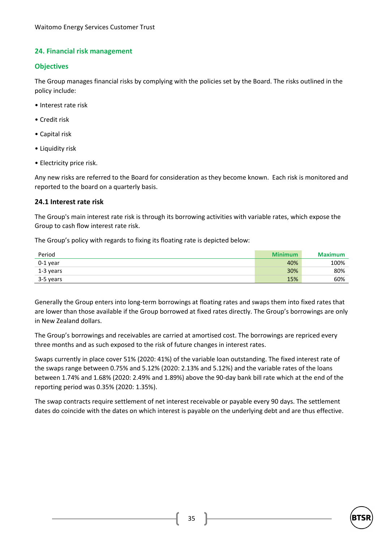### **24. Financial risk management**

#### **Objectives**

The Group manages financial risks by complying with the policies set by the Board. The risks outlined in the policy include:

- Interest rate risk
- Credit risk
- Capital risk
- Liquidity risk
- Electricity price risk.

Any new risks are referred to the Board for consideration as they become known. Each risk is monitored and reported to the board on a quarterly basis.

#### **24.1 Interest rate risk**

The Group's main interest rate risk is through its borrowing activities with variable rates, which expose the Group to cash flow interest rate risk.

The Group's policy with regards to fixing its floating rate is depicted below:

| Period    | <b>Minimum</b> | <b>Maximum</b> |
|-----------|----------------|----------------|
| 0-1 year  | 40%            | 100%           |
| 1-3 years | 30%            | 80%            |
| 3-5 years | 15%            | 60%            |

Generally the Group enters into long-term borrowings at floating rates and swaps them into fixed rates that are lower than those available if the Group borrowed at fixed rates directly. The Group's borrowings are only in New Zealand dollars.

The Group's borrowings and receivables are carried at amortised cost. The borrowings are repriced every three months and as such exposed to the risk of future changes in interest rates.

Swaps currently in place cover 51% (2020: 41%) of the variable loan outstanding. The fixed interest rate of the swaps range between 0.75% and 5.12% (2020: 2.13% and 5.12%) and the variable rates of the loans between 1.74% and 1.68% (2020: 2.49% and 1.89%) above the 90-day bank bill rate which at the end of the reporting period was 0.35% (2020: 1.35%).

The swap contracts require settlement of net interest receivable or payable every 90 days. The settlement dates do coincide with the dates on which interest is payable on the underlying debt and are thus effective.

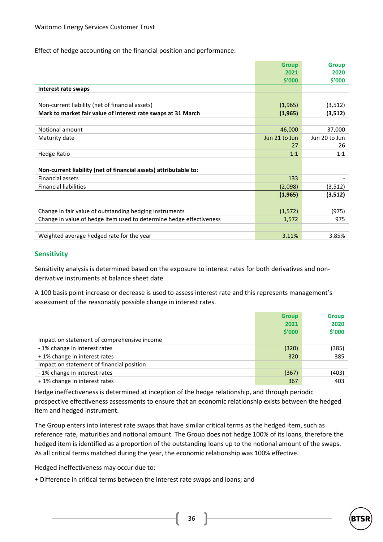Effect of hedge accounting on the financial position and performance:

|                                                                     | <b>Group</b>  | <b>Group</b>  |
|---------------------------------------------------------------------|---------------|---------------|
|                                                                     | 2021          | 2020          |
|                                                                     | \$′000        | \$′000        |
| Interest rate swaps                                                 |               |               |
|                                                                     |               |               |
| Non-current liability (net of financial assets)                     | (1,965)       | (3, 512)      |
| Mark to market fair value of interest rate swaps at 31 March        | (1,965)       | (3,512)       |
|                                                                     |               |               |
| Notional amount                                                     | 46,000        | 37,000        |
| Maturity date                                                       | Jun 21 to Jun | Jun 20 to Jun |
|                                                                     | 27            | 26            |
| <b>Hedge Ratio</b>                                                  | 1:1           | 1:1           |
|                                                                     |               |               |
| Non-current liability (net of financial assets) attributable to:    |               |               |
| <b>Financial assets</b>                                             | 133           |               |
| <b>Financial liabilities</b>                                        | (2,098)       | (3, 512)      |
|                                                                     | (1, 965)      | (3,512)       |
|                                                                     |               |               |
| Change in fair value of outstanding hedging instruments             | (1, 572)      | (975)         |
| Change in value of hedge item used to determine hedge effectiveness | 1,572         | 975           |
|                                                                     |               |               |
| Weighted average hedged rate for the year                           | 3.11%         | 3.85%         |

#### **Sensitivity**

Sensitivity analysis is determined based on the exposure to interest rates for both derivatives and nonderivative instruments at balance sheet date.

A 100 basis point increase or decrease is used to assess interest rate and this represents management's assessment of the reasonably possible change in interest rates.

|                                             | <b>Group</b>   | <b>Group</b>   |
|---------------------------------------------|----------------|----------------|
|                                             | 2021<br>\$′000 | 2020<br>\$'000 |
| Impact on statement of comprehensive income |                |                |
| - 1% change in interest rates               | (320)          | (385)          |
| +1% change in interest rates                | 320            | 385            |
| Impact on statement of financial position   |                |                |
| -1% change in interest rates                | (367)          | (403)          |
| +1% change in interest rates                | 367            | 403            |

Hedge ineffectiveness is determined at inception of the hedge relationship, and through periodic prospective effectiveness assessments to ensure that an economic relationship exists between the hedged item and hedged instrument.

The Group enters into interest rate swaps that have similar critical terms as the hedged item, such as reference rate, maturities and notional amount. The Group does not hedge 100% of its loans, therefore the hedged item is identified as a proportion of the outstanding loans up to the notional amount of the swaps. As all critical terms matched during the year, the economic relationship was 100% effective.

Hedged ineffectiveness may occur due to:

• Difference in critical terms between the interest rate swaps and loans; and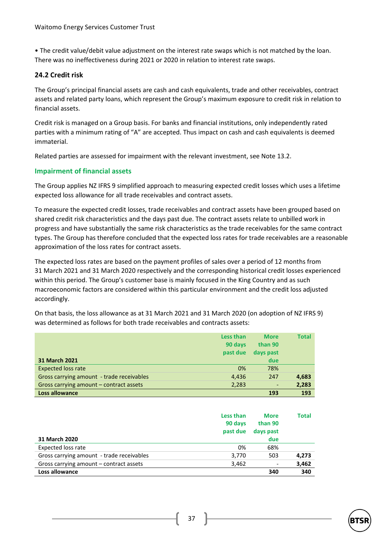• The credit value/debit value adjustment on the interest rate swaps which is not matched by the loan. There was no ineffectiveness during 2021 or 2020 in relation to interest rate swaps.

#### **24.2 Credit risk**

The Group's principal financial assets are cash and cash equivalents, trade and other receivables, contract assets and related party loans, which represent the Group's maximum exposure to credit risk in relation to financial assets.

Credit risk is managed on a Group basis. For banks and financial institutions, only independently rated parties with a minimum rating of "A" are accepted. Thus impact on cash and cash equivalents is deemed immaterial.

Related parties are assessed for impairment with the relevant investment, see Note 13.2.

#### **Impairment of financial assets**

The Group applies NZ IFRS 9 simplified approach to measuring expected credit losses which uses a lifetime expected loss allowance for all trade receivables and contract assets.

To measure the expected credit losses, trade receivables and contract assets have been grouped based on shared credit risk characteristics and the days past due. The contract assets relate to unbilled work in progress and have substantially the same risk characteristics as the trade receivables for the same contract types. The Group has therefore concluded that the expected loss rates for trade receivables are a reasonable approximation of the loss rates for contract assets.

The expected loss rates are based on the payment profiles of sales over a period of 12 months from 31 March 2021 and 31 March 2020 respectively and the corresponding historical credit losses experienced within this period. The Group's customer base is mainly focused in the King Country and as such macroeconomic factors are considered within this particular environment and the credit loss adjusted accordingly.

On that basis, the loss allowance as at 31 March 2021 and 31 March 2020 (on adoption of NZ IFRS 9) was determined as follows for both trade receivables and contracts assets:

|                                           | Less than<br>90 days<br>past due | <b>More</b><br>than 90<br>days past | Total |
|-------------------------------------------|----------------------------------|-------------------------------------|-------|
| <b>31 March 2021</b>                      |                                  | due                                 |       |
| <b>Expected loss rate</b>                 | 0%                               | 78%                                 |       |
| Gross carrying amount - trade receivables | 4,436                            | 247                                 | 4,683 |
| Gross carrying amount – contract assets   | 2,283                            | $\qquad \qquad \blacksquare$        | 2,283 |
| Loss allowance                            |                                  | 193                                 | 193   |

|                                           | Less than<br>90 days<br>past due | <b>More</b><br>than 90<br>days past | Total |
|-------------------------------------------|----------------------------------|-------------------------------------|-------|
| 31 March 2020                             |                                  | due                                 |       |
| Expected loss rate                        | 0%                               | 68%                                 |       |
| Gross carrying amount - trade receivables | 3,770                            | 503                                 | 4,273 |
| Gross carrying amount – contract assets   | 3,462                            |                                     | 3,462 |
| Loss allowance                            |                                  | 340                                 | 340   |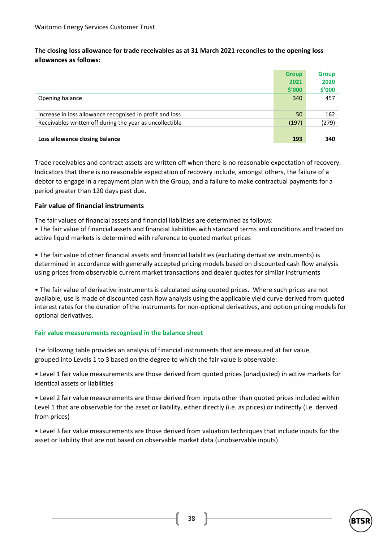**The closing loss allowance for trade receivables as at 31 March 2021 reconciles to the opening loss allowances as follows:**

|                                                          | <b>Group</b> | <b>Group</b> |
|----------------------------------------------------------|--------------|--------------|
|                                                          | 2021         | 2020         |
|                                                          | \$′000       | \$'000       |
| Opening balance                                          | 340          | 457          |
|                                                          |              |              |
| Increase in loss allowance recognised in profit and loss | 50           | 162          |
| Receivables written off during the year as uncollectible | (197)        | (279)        |
|                                                          |              |              |
| Loss allowance closing balance                           | 193          | 340          |

Trade receivables and contract assets are written off when there is no reasonable expectation of recovery. Indicators that there is no reasonable expectation of recovery include, amongst others, the failure of a debtor to engage in a repayment plan with the Group, and a failure to make contractual payments for a period greater than 120 days past due.

#### **Fair value of financial instruments**

The fair values of financial assets and financial liabilities are determined as follows:

• The fair value of financial assets and financial liabilities with standard terms and conditions and traded on active liquid markets is determined with reference to quoted market prices

• The fair value of other financial assets and financial liabilities (excluding derivative instruments) is determined in accordance with generally accepted pricing models based on discounted cash flow analysis using prices from observable current market transactions and dealer quotes for similar instruments

• The fair value of derivative instruments is calculated using quoted prices. Where such prices are not available, use is made of discounted cash flow analysis using the applicable yield curve derived from quoted interest rates for the duration of the instruments for non-optional derivatives, and option pricing models for optional derivatives.

#### **Fair value measurements recognised in the balance sheet**

The following table provides an analysis of financial instruments that are measured at fair value, grouped into Levels 1 to 3 based on the degree to which the fair value is observable:

• Level 1 fair value measurements are those derived from quoted prices (unadjusted) in active markets for identical assets or liabilities

• Level 2 fair value measurements are those derived from inputs other than quoted prices included within Level 1 that are observable for the asset or liability, either directly (i.e. as prices) or indirectly (i.e. derived from prices)

• Level 3 fair value measurements are those derived from valuation techniques that include inputs for the asset or liability that are not based on observable market data (unobservable inputs).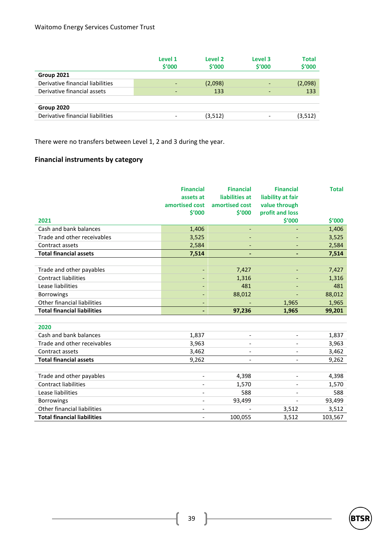|                                  | Level 1<br>\$′000 | Level <sub>2</sub><br>\$′000 | Level 3<br>\$′000 | Total<br>\$'000 |
|----------------------------------|-------------------|------------------------------|-------------------|-----------------|
| Group 2021                       |                   |                              |                   |                 |
| Derivative financial liabilities |                   | (2,098)                      |                   | (2,098)         |
| Derivative financial assets      |                   | 133                          |                   | 133             |
|                                  |                   |                              |                   |                 |
| Group 2020                       |                   |                              |                   |                 |
| Derivative financial liabilities |                   | (3, 512)                     |                   | (3, 512)        |

There were no transfers between Level 1, 2 and 3 during the year.

## **Financial instruments by category**

|                                    | <b>Financial</b><br>assets at<br>amortised cost | <b>Financial</b><br>liabilities at<br>amortised cost | <b>Financial</b><br>liability at fair<br>value through | <b>Total</b> |
|------------------------------------|-------------------------------------------------|------------------------------------------------------|--------------------------------------------------------|--------------|
|                                    | \$'000                                          | \$'000                                               | profit and loss                                        |              |
| 2021                               |                                                 |                                                      | \$'000                                                 | \$'000       |
| Cash and bank balances             | 1,406                                           |                                                      |                                                        | 1,406        |
| Trade and other receivables        | 3,525                                           | $\overline{\phantom{a}}$                             |                                                        | 3,525        |
| Contract assets                    | 2,584                                           | $\overline{\phantom{a}}$                             | $\overline{\phantom{a}}$                               | 2,584        |
| <b>Total financial assets</b>      | 7,514                                           |                                                      |                                                        | 7,514        |
|                                    |                                                 |                                                      |                                                        |              |
| Trade and other payables           | $\overline{\phantom{a}}$                        | 7,427                                                |                                                        | 7,427        |
| <b>Contract liabilities</b>        | $\overline{\phantom{a}}$                        | 1,316                                                | $\overline{\phantom{a}}$                               | 1,316        |
| Lease liabilities                  | $\overline{\phantom{0}}$                        | 481                                                  | $\overline{\phantom{a}}$                               | 481          |
| <b>Borrowings</b>                  | $\overline{\phantom{0}}$                        | 88,012                                               | $\overline{\phantom{a}}$                               | 88,012       |
| Other financial liabilities        | $\overline{\phantom{a}}$                        |                                                      | 1,965                                                  | 1,965        |
| <b>Total financial liabilities</b> | $\blacksquare$                                  | 97,236                                               | 1,965                                                  | 99,201       |
|                                    |                                                 |                                                      |                                                        |              |
| 2020                               |                                                 |                                                      |                                                        |              |
| Cash and bank balances             | 1,837                                           |                                                      |                                                        | 1,837        |
| Trade and other receivables        | 3,963                                           |                                                      |                                                        | 3,963        |
| Contract assets                    | 3,462                                           |                                                      |                                                        | 3,462        |
| <b>Total financial assets</b>      | 9,262                                           |                                                      |                                                        | 9,262        |
|                                    |                                                 |                                                      |                                                        |              |
| Trade and other payables           | $\overline{\phantom{a}}$                        | 4,398                                                |                                                        | 4,398        |
| <b>Contract liabilities</b>        |                                                 | 1,570                                                |                                                        | 1,570        |
| Lease liabilities                  | $\overline{\phantom{a}}$                        | 588                                                  | $\overline{\phantom{a}}$                               | 588          |
| <b>Borrowings</b>                  | $\overline{\phantom{a}}$                        | 93,499                                               |                                                        | 93,499       |
| Other financial liabilities        | $\overline{\phantom{0}}$                        |                                                      | 3,512                                                  | 3,512        |
| <b>Total financial liabilities</b> | $\overline{\phantom{a}}$                        | 100,055                                              | 3,512                                                  | 103,567      |

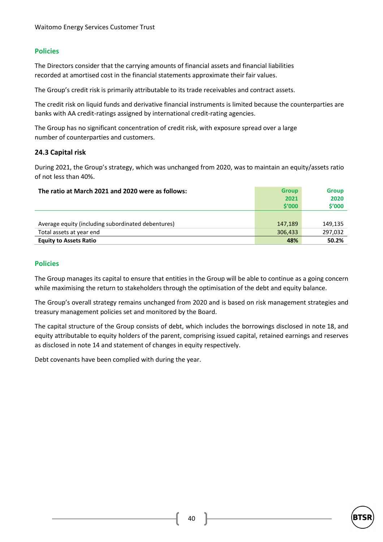#### **Policies**

The Directors consider that the carrying amounts of financial assets and financial liabilities recorded at amortised cost in the financial statements approximate their fair values.

The Group's credit risk is primarily attributable to its trade receivables and contract assets.

The credit risk on liquid funds and derivative financial instruments is limited because the counterparties are banks with AA credit-ratings assigned by international credit-rating agencies.

The Group has no significant concentration of credit risk, with exposure spread over a large number of counterparties and customers.

#### **24.3 Capital risk**

During 2021, the Group's strategy, which was unchanged from 2020, was to maintain an equity/assets ratio of not less than 40%.

| The ratio at March 2021 and 2020 were as follows:  | <b>Group</b> | <b>Group</b> |
|----------------------------------------------------|--------------|--------------|
|                                                    | 2021         | 2020         |
|                                                    | \$′000       | \$'000       |
|                                                    |              |              |
| Average equity (including subordinated debentures) | 147.189      | 149,135      |
| Total assets at year end                           | 306,433      | 297,032      |
| <b>Equity to Assets Ratio</b>                      | 48%          | 50.2%        |

#### **Policies**

The Group manages its capital to ensure that entities in the Group will be able to continue as a going concern while maximising the return to stakeholders through the optimisation of the debt and equity balance.

The Group's overall strategy remains unchanged from 2020 and is based on risk management strategies and treasury management policies set and monitored by the Board.

The capital structure of the Group consists of debt, which includes the borrowings disclosed in note 18, and equity attributable to equity holders of the parent, comprising issued capital, retained earnings and reserves as disclosed in note 14 and statement of changes in equity respectively.

Debt covenants have been complied with during the year.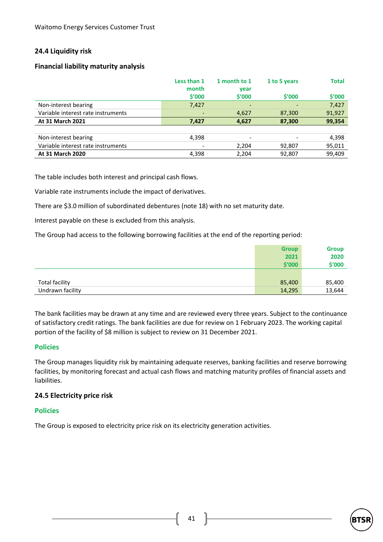#### **24.4 Liquidity risk**

#### **Financial liability maturity analysis**

|                                    | Less than 1<br>month<br><b>S'000</b> | 1 month to 1<br>year<br>\$′000 | 1 to 5 years<br>\$′000 | <b>Total</b><br>\$'000 |
|------------------------------------|--------------------------------------|--------------------------------|------------------------|------------------------|
| Non-interest bearing               | 7,427                                | -                              |                        | 7,427                  |
| Variable interest rate instruments |                                      | 4,627                          | 87,300                 | 91,927                 |
| <b>At 31 March 2021</b>            | 7,427                                | 4,627                          | 87,300                 | 99,354                 |
|                                    |                                      |                                |                        |                        |
| Non-interest bearing               | 4,398                                |                                |                        | 4,398                  |
| Variable interest rate instruments |                                      | 2,204                          | 92,807                 | 95,011                 |
| At 31 March 2020                   | 4,398                                | 2,204                          | 92,807                 | 99,409                 |

The table includes both interest and principal cash flows.

Variable rate instruments include the impact of derivatives.

There are \$3.0 million of subordinated debentures (note 18) with no set maturity date.

Interest payable on these is excluded from this analysis.

The Group had access to the following borrowing facilities at the end of the reporting period:

|                       | <b>Group</b> | <b>Group</b> |
|-----------------------|--------------|--------------|
|                       | 2021         | 2020         |
|                       | \$′000       | \$'000       |
|                       |              |              |
| <b>Total facility</b> | 85,400       | 85,400       |
| Undrawn facility      | 14,295       | 13,644       |

The bank facilities may be drawn at any time and are reviewed every three years. Subject to the continuance of satisfactory credit ratings. The bank facilities are due for review on 1 February 2023. The working capital portion of the facility of \$8 million is subject to review on 31 December 2021.

#### **Policies**

The Group manages liquidity risk by maintaining adequate reserves, banking facilities and reserve borrowing facilities, by monitoring forecast and actual cash flows and matching maturity profiles of financial assets and liabilities.

#### **24.5 Electricity price risk**

#### **Policies**

The Group is exposed to electricity price risk on its electricity generation activities.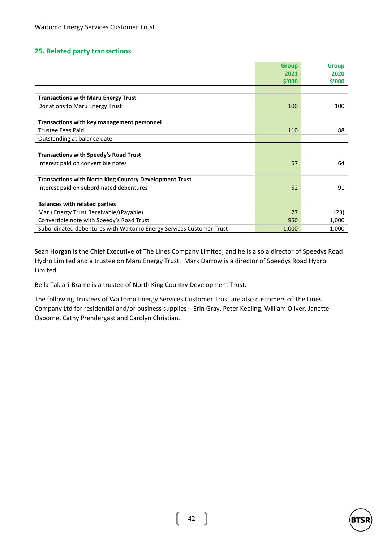#### **25. Related party transactions**

|                                                                     | <b>Group</b>             | <b>Group</b> |
|---------------------------------------------------------------------|--------------------------|--------------|
|                                                                     | 2021                     | 2020         |
|                                                                     | \$′000                   | \$′000       |
|                                                                     |                          |              |
| <b>Transactions with Maru Energy Trust</b>                          |                          |              |
| Donations to Maru Energy Trust                                      | 100                      | 100          |
|                                                                     |                          |              |
| Transactions with key management personnel                          |                          |              |
| Trustee Fees Paid                                                   | 110                      | 88           |
| Outstanding at balance date                                         | $\overline{\phantom{0}}$ |              |
|                                                                     |                          |              |
| <b>Transactions with Speedy's Road Trust</b>                        |                          |              |
| Interest paid on convertible notes                                  | 57                       | 64           |
|                                                                     |                          |              |
| <b>Transactions with North King Country Development Trust</b>       |                          |              |
| Interest paid on subordinated debentures                            | 52                       | 91           |
|                                                                     |                          |              |
| <b>Balances with related parties</b>                                |                          |              |
| Maru Energy Trust Receivable/(Payable)                              | 27                       | (23)         |
| Convertible note with Speedy's Road Trust                           | 950                      | 1,000        |
| Subordinated debentures with Waitomo Energy Services Customer Trust | 1,000                    | 1,000        |

Sean Horgan is the Chief Executive of The Lines Company Limited, and he is also a director of Speedys Road Hydro Limited and a trustee on Maru Energy Trust. Mark Darrow is a director of Speedys Road Hydro Limited.

Bella Takiari-Brame is a trustee of North King Country Development Trust.

The following Trustees of Waitomo Energy Services Customer Trust are also customers of The Lines Company Ltd for residential and/or business supplies – Erin Gray, Peter Keeling, William Oliver, Janette Osborne, Cathy Prendergast and Carolyn Christian.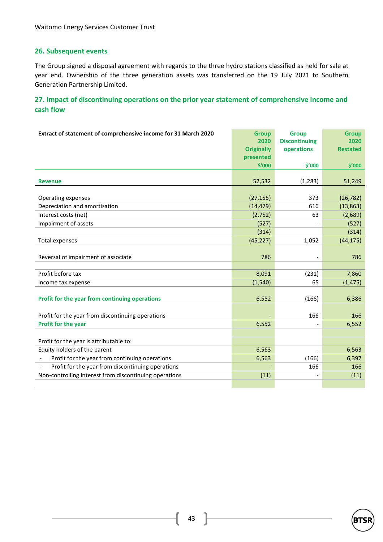#### **26. Subsequent events**

The Group signed a disposal agreement with regards to the three hydro stations classified as held for sale at year end. Ownership of the three generation assets was transferred on the 19 July 2021 to Southern Generation Partnership Limited.

## **27. Impact of discontinuing operations on the prior year statement of comprehensive income and cash flow**

| Extract of statement of comprehensive income for 31 March 2020 | <b>Group</b><br>2020 | <b>Group</b><br><b>Discontinuing</b> | <b>Group</b><br>2020 |
|----------------------------------------------------------------|----------------------|--------------------------------------|----------------------|
|                                                                | <b>Originally</b>    | operations                           | <b>Restated</b>      |
|                                                                | presented            |                                      |                      |
|                                                                | \$'000               | \$'000                               | \$′000               |
| <b>Revenue</b>                                                 | 52,532               | (1,283)                              | 51,249               |
| Operating expenses                                             | (27, 155)            | 373                                  | (26, 782)            |
| Depreciation and amortisation                                  | (14, 479)            | 616                                  | (13, 863)            |
| Interest costs (net)                                           | (2,752)              | 63                                   | (2,689)              |
| Impairment of assets                                           | (527)                |                                      | (527)                |
|                                                                | (314)                |                                      | (314)                |
| <b>Total expenses</b>                                          | (45, 227)            | 1,052                                | (44, 175)            |
| Reversal of impairment of associate                            | 786                  |                                      | 786                  |
| Profit before tax                                              | 8,091                | (231)                                | 7,860                |
| Income tax expense                                             | (1, 540)             | 65                                   | (1, 475)             |
| Profit for the year from continuing operations                 | 6,552                | (166)                                | 6,386                |
| Profit for the year from discontinuing operations              |                      | 166                                  | 166                  |
| Profit for the year                                            | 6,552                |                                      | 6,552                |
|                                                                |                      |                                      |                      |
| Profit for the year is attributable to:                        |                      |                                      |                      |
| Equity holders of the parent                                   | 6,563                | $\blacksquare$                       | 6,563                |
| Profit for the year from continuing operations                 | 6,563                | (166)                                | 6,397                |
| Profit for the year from discontinuing operations              |                      | 166                                  | 166                  |
| Non-controlling interest from discontinuing operations         | (11)                 |                                      | (11)                 |
|                                                                |                      |                                      |                      |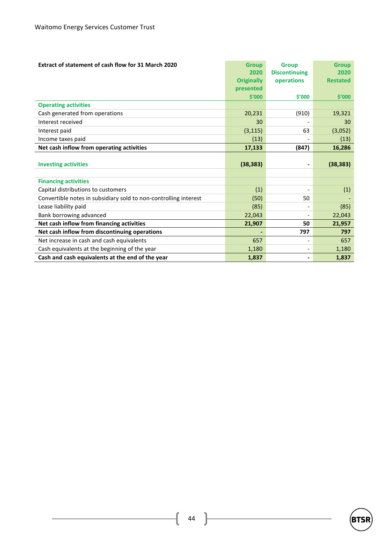| Extract of statement of cash flow for 31 March 2020              | <b>Group</b>      | <b>Group</b>             | <b>Group</b>    |
|------------------------------------------------------------------|-------------------|--------------------------|-----------------|
|                                                                  | 2020              | <b>Discontinuing</b>     | 2020            |
|                                                                  | <b>Originally</b> | operations               | <b>Restated</b> |
|                                                                  | presented         |                          |                 |
|                                                                  | \$'000            | \$′000                   | \$′000          |
| <b>Operating activities</b>                                      |                   |                          |                 |
| Cash generated from operations                                   | 20,231            | (910)                    | 19,321          |
| Interest received                                                | 30                |                          | 30              |
| Interest paid                                                    | (3, 115)          | 63                       | (3,052)         |
| Income taxes paid                                                | (13)              |                          | (13)            |
| Net cash inflow from operating activities                        | 17,133            | (847)                    | 16,286          |
| <b>Investing activities</b>                                      | (38, 383)         | $\blacksquare$           | (38, 383)       |
|                                                                  |                   |                          |                 |
| <b>Financing activities</b>                                      |                   |                          |                 |
| Capital distributions to customers                               | (1)               |                          | (1)             |
| Convertible notes in subsidiary sold to non-controlling interest | (50)              | 50                       |                 |
| Lease liability paid                                             | (85)              | $\overline{\phantom{a}}$ | (85)            |
| Bank borrowing advanced                                          | 22,043            | $\overline{\phantom{a}}$ | 22,043          |
| Net cash inflow from financing activities                        | 21,907            | 50                       | 21,957          |
| Net cash inflow from discontinuing operations                    |                   | 797                      | 797             |
| Net increase in cash and cash equivalents                        | 657               |                          | 657             |
| Cash equivalents at the beginning of the year                    | 1,180             | $\overline{\phantom{a}}$ | 1,180           |
| Cash and cash equivalents at the end of the year                 | 1,837             |                          | 1,837           |



 $44$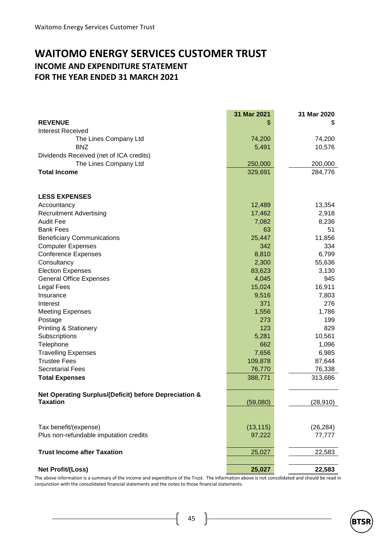## **WAITOMO ENERGY SERVICES CUSTOMER TRUST INCOME AND EXPENDITURE STATEMENT FOR THE YEAR ENDED 31 MARCH 2021**

|                                                                          | 31 Mar 2021 | 31 Mar 2020 |
|--------------------------------------------------------------------------|-------------|-------------|
| <b>REVENUE</b>                                                           | \$          | \$          |
| <b>Interest Received</b>                                                 |             |             |
| The Lines Company Ltd                                                    | 74,200      | 74,200      |
| <b>BNZ</b>                                                               | 5,491       | 10,576      |
| Dividends Received (net of ICA credits)                                  |             |             |
| The Lines Company Ltd                                                    | 250,000     | 200,000     |
| <b>Total Income</b>                                                      | 329,691     | 284,776     |
|                                                                          |             |             |
| <b>LESS EXPENSES</b>                                                     |             |             |
| Accountancy                                                              | 12,489      | 13,354      |
| <b>Recruitment Advertising</b>                                           | 17,462      | 2,918       |
| <b>Audit Fee</b>                                                         | 7,082       | 8,236       |
| <b>Bank Fees</b>                                                         | 63          | 51          |
| <b>Beneficiary Communications</b>                                        | 25,447      | 11,856      |
| <b>Computer Expenses</b>                                                 | 342         | 334         |
| <b>Conference Expenses</b>                                               | 8,810       | 6,799       |
| Consultancy                                                              | 2,300       | 55,636      |
| <b>Election Expenses</b>                                                 | 83,623      | 3,130       |
| <b>General Office Expenses</b>                                           | 4,045       | 945         |
| <b>Legal Fees</b>                                                        | 15,024      | 16,911      |
| Insurance                                                                | 9,516       | 7,803       |
| Interest                                                                 | 371         | 276         |
| <b>Meeting Expenses</b>                                                  | 1,556       | 1,786       |
| Postage                                                                  | 273         | 199         |
| Printing & Stationery                                                    | 123         | 829         |
| Subscriptions                                                            | 5,281       | 10,561      |
| Telephone                                                                | 662         | 1,096       |
| <b>Travelling Expenses</b>                                               | 7,656       | 6,985       |
| <b>Trustee Fees</b>                                                      | 109,878     | 87,644      |
| <b>Secretarial Fees</b>                                                  | 76,770      | 76,338      |
| <b>Total Expenses</b>                                                    | 388,771     | 313,686     |
|                                                                          |             |             |
| Net Operating Surplus/(Deficit) before Depreciation &<br><b>Taxation</b> | (59,080)    | (28, 910)   |
|                                                                          |             |             |
|                                                                          |             |             |
| Tax benefit/(expense)                                                    | (13, 115)   | (26, 284)   |
| Plus non-refundable imputation credits                                   | 97,222      | 77,777      |
| <b>Trust Income after Taxation</b>                                       | 25,027      | 22,583      |
|                                                                          |             |             |
| <b>Net Profit/(Loss)</b>                                                 | 25,027      | 22,583      |

The above information is a summary of the income and expenditure of the Trust. The information above is not consolidated and should be read in conjunction with the consolidated financial statements and the notes to those financial statements.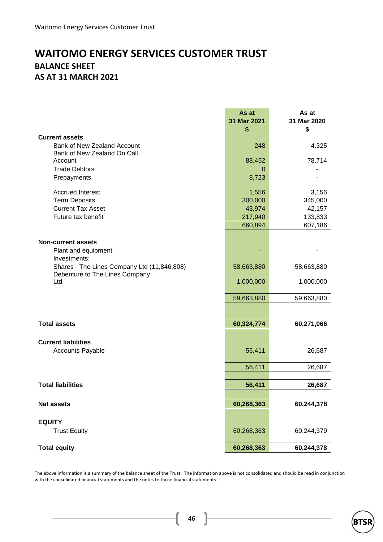## **WAITOMO ENERGY SERVICES CUSTOMER TRUST BALANCE SHEET AS AT 31 MARCH 2021**

|                                                            | As at<br>31 Mar 2021<br>\$ | As at<br>31 Mar 2020<br>\$ |
|------------------------------------------------------------|----------------------------|----------------------------|
| <b>Current assets</b>                                      |                            |                            |
| Bank of New Zealand Account<br>Bank of New Zealand On Call | 248                        | 4,325                      |
| Account                                                    | 88,452                     | 78,714                     |
| <b>Trade Debtors</b>                                       | 0                          |                            |
| Prepayments                                                | 8,723                      |                            |
| <b>Accrued Interest</b>                                    | 1,556                      | 3,156                      |
| <b>Term Deposits</b>                                       | 300,000                    | 345,000                    |
| <b>Current Tax Asset</b>                                   | 43,974                     | 42,157                     |
| Future tax benefit                                         | 217,940                    | 133,833                    |
|                                                            | 660,894                    | 607,186                    |
|                                                            |                            |                            |
| <b>Non-current assets</b><br>Plant and equipment           |                            |                            |
| Investments:                                               |                            |                            |
| Shares - The Lines Company Ltd (11,846,808)                | 58,663,880                 | 58,663,880                 |
| Debenture to The Lines Company                             |                            |                            |
| Ltd                                                        | 1,000,000                  | 1,000,000                  |
|                                                            | 59,663,880                 | 59,663,880                 |
|                                                            |                            |                            |
| <b>Total assets</b>                                        | 60,324,774                 | 60,271,066                 |
|                                                            |                            |                            |
| <b>Current liabilities</b>                                 |                            |                            |
| <b>Accounts Payable</b>                                    | 56,411                     | 26,687                     |
|                                                            | 56,411                     | 26,687                     |
|                                                            |                            |                            |
| <b>Total liabilities</b>                                   | 56,411                     | 26,687                     |
|                                                            |                            |                            |
| <b>Net assets</b>                                          | 60,268,363                 | 60,244,378                 |
|                                                            |                            |                            |
| <b>EQUITY</b>                                              |                            |                            |
| <b>Trust Equity</b>                                        | 60,268,363                 | 60,244,379                 |
| <b>Total equity</b>                                        | 60,268,363                 | 60,244,378                 |
|                                                            |                            |                            |

The above information is a summary of the balance sheet of the Trust. The information above is not consolidated and should be read in conjunction with the consolidated financial statements and the notes to those financial statements.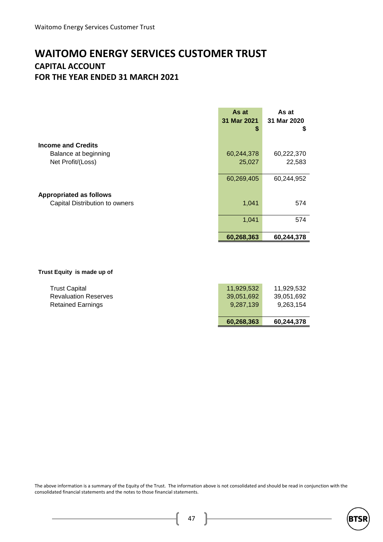## **WAITOMO ENERGY SERVICES CUSTOMER TRUST CAPITAL ACCOUNT FOR THE YEAR ENDED 31 MARCH 2021**

|                                                                        | As at<br>31 Mar 2021<br>S | As at<br>31 Mar 2020<br>\$ |
|------------------------------------------------------------------------|---------------------------|----------------------------|
| <b>Income and Credits</b><br>Balance at beginning<br>Net Profit/(Loss) | 60,244,378<br>25,027      | 60,222,370<br>22,583       |
| <b>Appropriated as follows</b>                                         | 60,269,405                | 60,244,952                 |
| Capital Distribution to owners                                         | 1,041                     | 574                        |
|                                                                        | 1,041                     | 574                        |
|                                                                        | 60,268,363                | 60,244,378                 |

#### **Trust Equity is made up of**

|                             | 60,268,363 | 60,244,378 |
|-----------------------------|------------|------------|
| <b>Retained Earnings</b>    | 9.287.139  | 9,263,154  |
| <b>Revaluation Reserves</b> | 39,051,692 | 39,051,692 |
| <b>Trust Capital</b>        | 11.929.532 | 11.929.532 |

The above information is a summary of the Equity of the Trust. The information above is not consolidated and should be read in conjunction with the consolidated financial statements and the notes to those financial statements.

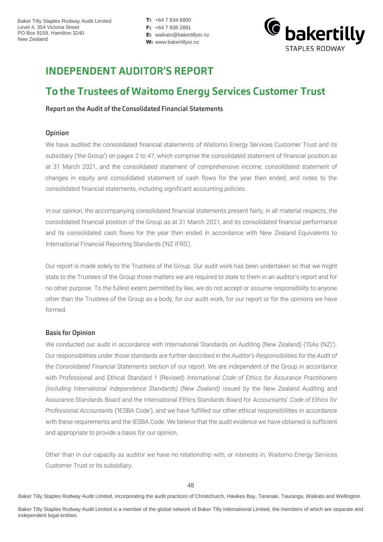$T: +6478346800$ F: +64 7 838 2881 E: waikato@bakertillysr.nz W: www.bakertillysr.nz



## **INDEPENDENT AUDITOR'S REPORT**

## To the Trustees of Waitomo Energy Services Customer Trust

Report on the Audit of the Consolidated Financial Statements

#### Opinion

We have audited the consolidated financial statements of Waitomo Energy Services Customer Trust and its subsidiary ('the Group') on pages 2 to 47, which comprise the consolidated statement of financial position as at 31 March 2021, and the consolidated statement of comprehensive income, consolidated statement of changes in equity and consolidated statement of cash flows for the year then ended, and notes to the consolidated financial statements, including significant accounting policies.

In our opinion, the accompanying consolidated financial statements present fairly, in all material respects, the consolidated financial position of the Group as at 31 March 2021, and its consolidated financial performance and its consolidated cash flows for the year then ended in accordance with New Zealand Equivalents to International Financial Reporting Standards ('NZ IFRS').

Our report is made solely to the Trustees of the Group. Our audit work has been undertaken so that we might state to the Trustees of the Group those matters we are required to state to them in an auditor's report and for no other purpose. To the fullest extent permitted by law, we do not accept or assume responsibility to anyone other than the Trustees of the Group as a body, for our audit work, for our report or for the opinions we have formed.

#### **Basis for Opinion**

We conducted our audit in accordance with International Standards on Auditing (New Zealand) ('ISAs (NZ)'). Our responsibilities under those standards are further described in the *Auditor's Responsibilities for the Audit of the Consolidated Financial Statements* section of our report. We are independent of the Group in accordance with Professional and Ethical Standard 1 (Revised) *International Code of Ethics for Assurance Practitioners (including International Independence Standards) (New Zealand)* issued by the New Zealand Auditing and Assurance Standards Board and the International Ethics Standards Board for Accountants' *Code of Ethics for Professional Accountants* ('IESBA Code'), and we have fulfilled our other ethical responsibilities in accordance with these requirements and the IESBA Code. We believe that the audit evidence we have obtained is sufficient and appropriate to provide a basis for our opinion.

Other than in our capacity as auditor we have no relationship with, or interests in, Waitomo Energy Services Customer Trust or its subsidiary.

Baker Tilly Staples Rodway Audit Limited, incorporating the audit practices of Christchurch, Hawkes Bay, Taranaki, Tauranga, Waikato and Wellington.

Baker Tilly Staples Rodway Audit Limited is a member of the global network of Baker Tilly International Limited, the members of which are separate and independent legal entities.